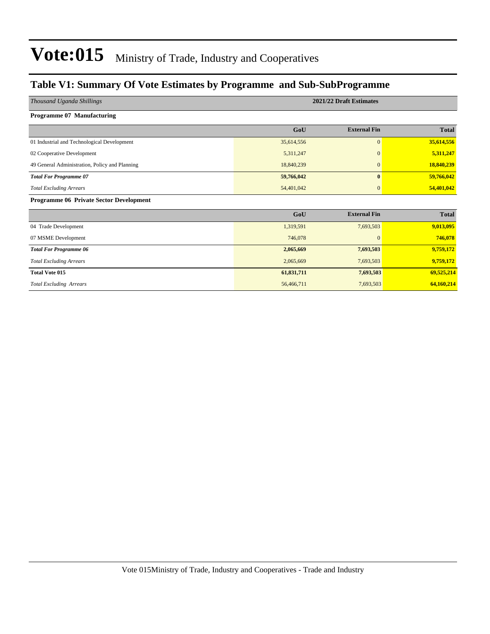#### **Table V1: Summary Of Vote Estimates by Programme and Sub-SubProgramme**

| Thousand Uganda Shillings                      | 2021/22 Draft Estimates |                     |              |  |  |  |  |  |  |
|------------------------------------------------|-------------------------|---------------------|--------------|--|--|--|--|--|--|
| <b>Programme 07 Manufacturing</b>              |                         |                     |              |  |  |  |  |  |  |
|                                                | GoU                     | <b>External Fin</b> | <b>Total</b> |  |  |  |  |  |  |
| 01 Industrial and Technological Development    | 35,614,556              | $\overline{0}$      | 35,614,556   |  |  |  |  |  |  |
| 02 Cooperative Development                     | 5,311,247               | $\mathbf{0}$        | 5,311,247    |  |  |  |  |  |  |
| 49 General Administration, Policy and Planning | 18,840,239              | $\mathbf{0}$        | 18,840,239   |  |  |  |  |  |  |
| <b>Total For Programme 07</b>                  | 59,766,042              | $\bf{0}$            | 59,766,042   |  |  |  |  |  |  |
| <b>Total Excluding Arrears</b>                 | 54,401,042              | $\mathbf{0}$        | 54,401,042   |  |  |  |  |  |  |
| <b>Programme 06 Private Sector Development</b> |                         |                     |              |  |  |  |  |  |  |
|                                                | GoU                     | <b>External Fin</b> | <b>Total</b> |  |  |  |  |  |  |
| 04 Trade Development                           | 1,319,591               | 7,693,503           | 9,013,095    |  |  |  |  |  |  |
| 07 MSME Development                            | 746,078                 | $\overline{0}$      | 746,078      |  |  |  |  |  |  |
| <b>Total For Programme 06</b>                  | 2,065,669               | 7,693,503           | 9,759,172    |  |  |  |  |  |  |
| <b>Total Excluding Arrears</b>                 | 2,065,669               | 7,693,503           | 9,759,172    |  |  |  |  |  |  |
| <b>Total Vote 015</b>                          | 61,831,711              | 7,693,503           | 69,525,214   |  |  |  |  |  |  |
| <b>Total Excluding Arrears</b>                 | 56,466,711              | 7,693,503           | 64,160,214   |  |  |  |  |  |  |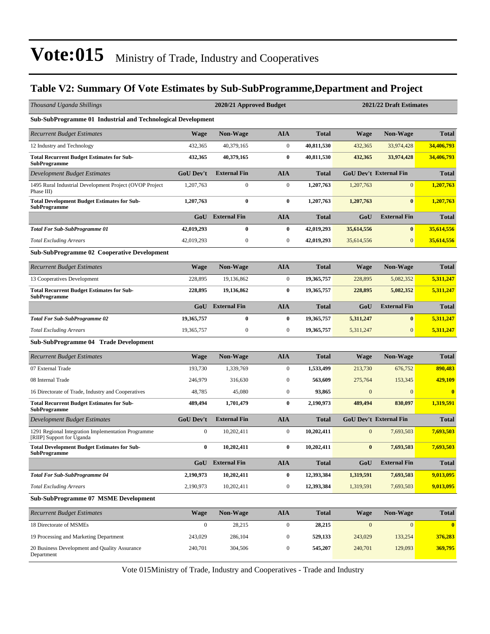#### **Table V2: Summary Of Vote Estimates by Sub-SubProgramme,Department and Project**

| Thousand Uganda Shillings                                                       |                  | 2020/21 Approved Budget |                  | 2021/22 Draft Estimates |                  |                               |              |  |
|---------------------------------------------------------------------------------|------------------|-------------------------|------------------|-------------------------|------------------|-------------------------------|--------------|--|
| Sub-SubProgramme 01 Industrial and Technological Development                    |                  |                         |                  |                         |                  |                               |              |  |
| <b>Recurrent Budget Estimates</b>                                               | <b>Wage</b>      | <b>Non-Wage</b>         | <b>AIA</b>       | <b>Total</b>            | Wage             | <b>Non-Wage</b>               | <b>Total</b> |  |
| 12 Industry and Technology                                                      | 432,365          | 40,379,165              | $\boldsymbol{0}$ | 40,811,530              | 432,365          | 33,974,428                    | 34,406,793   |  |
| <b>Total Recurrent Budget Estimates for Sub-</b><br><b>SubProgramme</b>         | 432,365          | 40,379,165              | $\bf{0}$         | 40,811,530              | 432,365          | 33,974,428                    | 34,406,793   |  |
| Development Budget Estimates                                                    | <b>GoU Dev't</b> | <b>External Fin</b>     | <b>AIA</b>       | <b>Total</b>            |                  | <b>GoU Dev't External Fin</b> | <b>Total</b> |  |
| 1495 Rural Industrial Development Project (OVOP Project<br>Phase III)           | 1,207,763        | $\boldsymbol{0}$        | $\boldsymbol{0}$ | 1,207,763               | 1,207,763        | 0                             | 1,207,763    |  |
| <b>Total Development Budget Estimates for Sub-</b><br>SubProgramme              | 1,207,763        | $\bf{0}$                | $\bf{0}$         | 1,207,763               | 1,207,763        | $\bf{0}$                      | 1,207,763    |  |
|                                                                                 | GoU              | <b>External Fin</b>     | <b>AIA</b>       | <b>Total</b>            | GoU              | <b>External Fin</b>           | <b>Total</b> |  |
| <b>Total For Sub-SubProgramme 01</b>                                            | 42,019,293       | $\bf{0}$                | $\bf{0}$         | 42,019,293              | 35,614,556       | $\bf{0}$                      | 35,614,556   |  |
| <b>Total Excluding Arrears</b>                                                  | 42,019,293       | $\boldsymbol{0}$        | $\boldsymbol{0}$ | 42,019,293              | 35,614,556       | $\mathbf{0}$                  | 35,614,556   |  |
| <b>Sub-SubProgramme 02 Cooperative Development</b>                              |                  |                         |                  |                         |                  |                               |              |  |
| <b>Recurrent Budget Estimates</b>                                               | <b>Wage</b>      | <b>Non-Wage</b>         | <b>AIA</b>       | <b>Total</b>            | <b>Wage</b>      | <b>Non-Wage</b>               | <b>Total</b> |  |
| 13 Cooperatives Development                                                     | 228,895          | 19,136,862              | $\boldsymbol{0}$ | 19,365,757              | 228,895          | 5,082,352                     | 5,311,247    |  |
| <b>Total Recurrent Budget Estimates for Sub-</b><br>SubProgramme                | 228,895          | 19,136,862              | $\bf{0}$         | 19,365,757              | 228,895          | 5,082,352                     | 5,311,247    |  |
|                                                                                 | GoU              | <b>External Fin</b>     | <b>AIA</b>       | <b>Total</b>            | GoU              | <b>External Fin</b>           | <b>Total</b> |  |
| <b>Total For Sub-SubProgramme 02</b>                                            | 19,365,757       | 0                       | $\bf{0}$         | 19,365,757              | 5,311,247        | $\bf{0}$                      | 5,311,247    |  |
| <b>Total Excluding Arrears</b>                                                  | 19,365,757       | $\boldsymbol{0}$        | $\boldsymbol{0}$ | 19,365,757              | 5,311,247        | $\mathbf{0}$                  | 5,311,247    |  |
| Sub-SubProgramme 04 Trade Development                                           |                  |                         |                  |                         |                  |                               |              |  |
| <b>Recurrent Budget Estimates</b>                                               | <b>Wage</b>      | Non-Wage                | <b>AIA</b>       | <b>Total</b>            | Wage             | <b>Non-Wage</b>               | <b>Total</b> |  |
| 07 External Trade                                                               | 193,730          | 1,339,769               | $\boldsymbol{0}$ | 1,533,499               | 213,730          | 676,752                       | 890,483      |  |
| 08 Internal Trade                                                               | 246,979          | 316,630                 | $\boldsymbol{0}$ | 563,609                 | 275,764          | 153,345                       | 429,109      |  |
| 16 Directorate of Trade, Industry and Cooperatives                              | 48,785           | 45,080                  | $\boldsymbol{0}$ | 93,865                  | $\mathbf{0}$     | $\overline{0}$                | $\bf{0}$     |  |
| <b>Total Recurrent Budget Estimates for Sub-</b><br><b>SubProgramme</b>         | 489,494          | 1,701,479               | $\bf{0}$         | 2,190,973               | 489,494          | 830,097                       | 1,319,591    |  |
| Development Budget Estimates                                                    | <b>GoU Dev't</b> | <b>External Fin</b>     | <b>AIA</b>       | <b>Total</b>            |                  | <b>GoU Dev't External Fin</b> | <b>Total</b> |  |
| 1291 Regional Integration Implementation Programme<br>[RIIP] Support for Uganda | $\boldsymbol{0}$ | 10,202,411              | $\boldsymbol{0}$ | 10,202,411              | $\mathbf{0}$     | 7,693,503                     | 7,693,503    |  |
| <b>Total Development Budget Estimates for Sub-</b><br><b>SubProgramme</b>       | $\bf{0}$         | 10,202,411              | $\bf{0}$         | 10,202,411              | $\bf{0}$         | 7,693,503                     | 7,693,503    |  |
|                                                                                 |                  | GoU External Fin        | <b>AIA</b>       | <b>Total</b>            | GoU              | <b>External Fin</b>           | <b>Total</b> |  |
| <b>Total For Sub-SubProgramme 04</b>                                            | 2,190,973        | 10,202,411              | $\bf{0}$         | 12,393,384              | 1,319,591        | 7,693,503                     | 9,013,095    |  |
| <b>Total Excluding Arrears</b>                                                  | 2,190,973        | 10,202,411              | $\boldsymbol{0}$ | 12,393,384              | 1,319,591        | 7,693,503                     | 9,013,095    |  |
| <b>Sub-SubProgramme 07 MSME Development</b>                                     |                  |                         |                  |                         |                  |                               |              |  |
| <b>Recurrent Budget Estimates</b>                                               | <b>Wage</b>      | Non-Wage                | <b>AIA</b>       | <b>Total</b>            | <b>Wage</b>      | Non-Wage                      | <b>Total</b> |  |
| 18 Directorate of MSMEs                                                         | $\mathbf{0}$     | 28,215                  | $\boldsymbol{0}$ | 28,215                  | $\boldsymbol{0}$ | 0                             | $\bf{0}$     |  |
| 19 Processing and Marketing Department                                          | 243,029          | 286,104                 | $\boldsymbol{0}$ | 529,133                 | 243,029          | 133,254                       | 376,283      |  |
| 20 Business Development and Quality Assurance<br>Department                     | 240,701          | 304,506                 | $\boldsymbol{0}$ | 545,207                 | 240,701          | 129,093                       | 369,795      |  |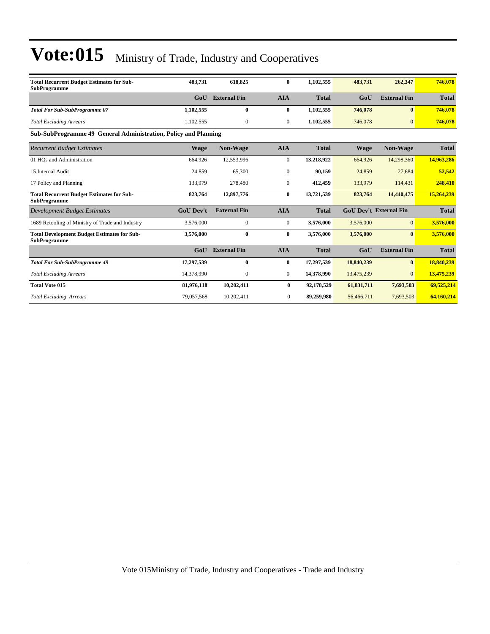| <b>Total Recurrent Budget Estimates for Sub-</b><br><b>SubProgramme</b>   | 483,731          | 618,825             | $\bf{0}$       | 1,102,555    | 483,731     | 262,347                       | 746,078      |  |  |  |  |
|---------------------------------------------------------------------------|------------------|---------------------|----------------|--------------|-------------|-------------------------------|--------------|--|--|--|--|
|                                                                           | GoU              | <b>External Fin</b> | <b>AIA</b>     | <b>Total</b> | GoU         | <b>External Fin</b>           | <b>Total</b> |  |  |  |  |
| <b>Total For Sub-SubProgramme 07</b>                                      | 1,102,555        | $\bf{0}$            | 0              | 1,102,555    | 746,078     | $\bf{0}$                      | 746,078      |  |  |  |  |
| <b>Total Excluding Arrears</b>                                            | 1,102,555        | $\mathbf{0}$        | $\overline{0}$ | 1,102,555    | 746,078     | $\mathbf{0}$                  | 746,078      |  |  |  |  |
| Sub-SubProgramme 49 General Administration, Policy and Planning           |                  |                     |                |              |             |                               |              |  |  |  |  |
| <b>Recurrent Budget Estimates</b>                                         | <b>Wage</b>      | Non-Wage            | <b>AIA</b>     | <b>Total</b> | <b>Wage</b> | Non-Wage                      | <b>Total</b> |  |  |  |  |
| 01 HOs and Administration                                                 | 664,926          | 12,553,996          | $\overline{0}$ | 13,218,922   | 664,926     | 14,298,360                    | 14,963,286   |  |  |  |  |
| 15 Internal Audit                                                         | 24,859           | 65,300              | $\mathbf{0}$   | 90,159       | 24,859      | 27,684                        | 52,542       |  |  |  |  |
| 17 Policy and Planning                                                    | 133,979          | 278,480             | $\overline{0}$ | 412,459      | 133,979     | 114,431                       | 248,410      |  |  |  |  |
| <b>Total Recurrent Budget Estimates for Sub-</b><br><b>SubProgramme</b>   | 823,764          | 12,897,776          | $\bf{0}$       | 13,721,539   | 823,764     | 14,440,475                    | 15,264,239   |  |  |  |  |
| <b>Development Budget Estimates</b>                                       | <b>GoU Dev't</b> | <b>External Fin</b> | <b>AIA</b>     | <b>Total</b> |             | <b>GoU Dev't External Fin</b> | <b>Total</b> |  |  |  |  |
| 1689 Retooling of Ministry of Trade and Industry                          | 3,576,000        | $\mathbf{0}$        | $\overline{0}$ | 3,576,000    | 3,576,000   | $\mathbf{0}$                  | 3,576,000    |  |  |  |  |
| <b>Total Development Budget Estimates for Sub-</b><br><b>SubProgramme</b> | 3,576,000        | $\bf{0}$            | $\bf{0}$       | 3,576,000    | 3,576,000   | $\mathbf{0}$                  | 3,576,000    |  |  |  |  |
|                                                                           | GoU              | <b>External Fin</b> | <b>AIA</b>     | <b>Total</b> | GoU         | <b>External Fin</b>           | <b>Total</b> |  |  |  |  |
| <b>Total For Sub-SubProgramme 49</b>                                      | 17,297,539       | $\bf{0}$            | $\bf{0}$       | 17,297,539   | 18,840,239  | $\bf{0}$                      | 18,840,239   |  |  |  |  |
| <b>Total Excluding Arrears</b>                                            | 14,378,990       | $\mathbf{0}$        | $\overline{0}$ | 14,378,990   | 13,475,239  | 0                             | 13,475,239   |  |  |  |  |
| <b>Total Vote 015</b>                                                     | 81,976,118       | 10,202,411          | $\bf{0}$       | 92,178,529   | 61,831,711  | 7,693,503                     | 69,525,214   |  |  |  |  |
| <b>Total Excluding Arrears</b>                                            | 79,057,568       | 10,202,411          | $\mathbf{0}$   | 89,259,980   | 56,466,711  | 7,693,503                     | 64,160,214   |  |  |  |  |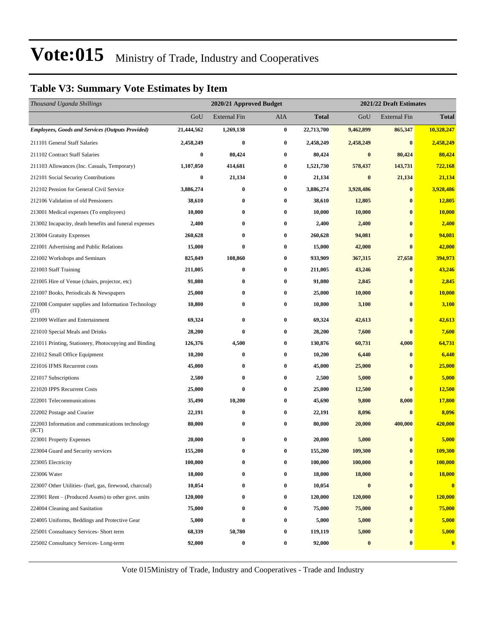#### **Table V3: Summary Vote Estimates by Item**

| Thousand Uganda Shillings                                   |            | 2020/21 Approved Budget |          |              | 2021/22 Draft Estimates |                     |               |  |  |
|-------------------------------------------------------------|------------|-------------------------|----------|--------------|-------------------------|---------------------|---------------|--|--|
|                                                             | GoU        | <b>External Fin</b>     | AIA      | <b>Total</b> | GoU                     | <b>External Fin</b> | <b>Total</b>  |  |  |
| <b>Employees, Goods and Services (Outputs Provided)</b>     | 21,444,562 | 1,269,138               | $\bf{0}$ | 22,713,700   | 9,462,899               | 865,347             | 10,328,247    |  |  |
| 211101 General Staff Salaries                               | 2,458,249  | $\bf{0}$                | $\bf{0}$ | 2,458,249    | 2,458,249               | $\bf{0}$            | 2,458,249     |  |  |
| 211102 Contract Staff Salaries                              | $\bf{0}$   | 80,424                  | $\bf{0}$ | 80,424       | $\bf{0}$                | 80,424              | 80,424        |  |  |
| 211103 Allowances (Inc. Casuals, Temporary)                 | 1,107,050  | 414,681                 | 0        | 1,521,730    | 578,437                 | 143,731             | 722,168       |  |  |
| 212101 Social Security Contributions                        | $\bf{0}$   | 21,134                  | 0        | 21,134       | $\bf{0}$                | 21,134              | 21,134        |  |  |
| 212102 Pension for General Civil Service                    | 3,886,274  | $\bf{0}$                | 0        | 3,886,274    | 3,928,486               | $\bf{0}$            | 3,928,486     |  |  |
| 212106 Validation of old Pensioners                         | 38,610     | $\bf{0}$                | 0        | 38,610       | 12,805                  | $\bf{0}$            | 12,805        |  |  |
| 213001 Medical expenses (To employees)                      | 10,000     | $\bf{0}$                | $\bf{0}$ | 10,000       | 10,000                  | $\bf{0}$            | 10,000        |  |  |
| 213002 Incapacity, death benefits and funeral expenses      | 2,400      | $\bf{0}$                | 0        | 2,400        | 2,400                   | $\bf{0}$            | 2,400         |  |  |
| 213004 Gratuity Expenses                                    | 260,628    | $\bf{0}$                | $\bf{0}$ | 260,628      | 94,081                  | $\bf{0}$            | 94,081        |  |  |
| 221001 Advertising and Public Relations                     | 15,000     | $\bf{0}$                | 0        | 15,000       | 42,000                  | $\mathbf{0}$        | 42,000        |  |  |
| 221002 Workshops and Seminars                               | 825,049    | 108,860                 | 0        | 933,909      | 367,315                 | 27,658              | 394,973       |  |  |
| 221003 Staff Training                                       | 211,005    | $\bf{0}$                | $\bf{0}$ | 211,005      | 43,246                  | $\bf{0}$            | 43,246        |  |  |
| 221005 Hire of Venue (chairs, projector, etc)               | 91,080     | $\bf{0}$                | 0        | 91,080       | 2,845                   | $\bf{0}$            | 2,845         |  |  |
| 221007 Books, Periodicals & Newspapers                      | 25,000     | $\bf{0}$                | $\bf{0}$ | 25,000       | 10,000                  | $\bf{0}$            | 10,000        |  |  |
| 221008 Computer supplies and Information Technology<br>(TT) | 10,800     | $\bf{0}$                | 0        | 10,800       | 3,100                   | $\bf{0}$            | 3,100         |  |  |
| 221009 Welfare and Entertainment                            | 69,324     | $\bf{0}$                | 0        | 69,324       | 42,613                  | $\bf{0}$            | 42,613        |  |  |
| 221010 Special Meals and Drinks                             | 28,200     | $\bf{0}$                | $\bf{0}$ | 28,200       | 7,600                   | $\bf{0}$            | 7,600         |  |  |
| 221011 Printing, Stationery, Photocopying and Binding       | 126,376    | 4,500                   | $\bf{0}$ | 130,876      | 60,731                  | 4,000               | 64,731        |  |  |
| 221012 Small Office Equipment                               | 10,200     | $\bf{0}$                | 0        | 10,200       | 6,440                   | $\bf{0}$            | 6,440         |  |  |
| 221016 IFMS Recurrent costs                                 | 45,000     | $\bf{0}$                | $\bf{0}$ | 45,000       | 25,000                  | $\bf{0}$            | 25,000        |  |  |
| 221017 Subscriptions                                        | 2,500      | $\bf{0}$                | 0        | 2,500        | 5,000                   | $\bf{0}$            | 5,000         |  |  |
| 221020 IPPS Recurrent Costs                                 | 25,000     | $\bf{0}$                | 0        | 25,000       | 12,500                  | $\bf{0}$            | 12,500        |  |  |
| 222001 Telecommunications                                   | 35,490     | 10,200                  | 0        | 45,690       | 9,800                   | 8,000               | 17,800        |  |  |
| 222002 Postage and Courier                                  | 22,191     | $\bf{0}$                | 0        | 22,191       | 8,096                   | $\bf{0}$            | 8,096         |  |  |
| 222003 Information and communications technology<br>(ICT)   | 80,000     | $\bf{0}$                | 0        | 80,000       | 20,000                  | 400,000             | 420,000       |  |  |
| 223001 Property Expenses                                    | 20,000     | $\bf{0}$                | 0        | 20,000       | 5,000                   | $\bf{0}$            | 5,000         |  |  |
| 223004 Guard and Security services                          | 155,200    | $\bf{0}$                | 0        | 155,200      | 109,300                 | $\bf{0}$            | 109,300       |  |  |
| 223005 Electricity                                          | 100,000    | $\bf{0}$                | 0        | 100,000      | 100,000                 | $\bf{0}$            | 100,000       |  |  |
| 223006 Water                                                | 18,000     | $\bf{0}$                | 0        | 18,000       | 18,000                  | $\bf{0}$            | <b>18,000</b> |  |  |
| 223007 Other Utilities- (fuel, gas, firewood, charcoal)     | 10,054     | $\bf{0}$                | 0        | 10,054       | $\bf{0}$                | $\bf{0}$            | $\mathbf{0}$  |  |  |
| 223901 Rent – (Produced Assets) to other govt. units        | 120,000    | $\bf{0}$                | 0        | 120,000      | 120,000                 | $\bf{0}$            | 120,000       |  |  |
| 224004 Cleaning and Sanitation                              | 75,000     | $\bf{0}$                | 0        | 75,000       | 75,000                  | $\bf{0}$            | 75,000        |  |  |
| 224005 Uniforms, Beddings and Protective Gear               | 5,000      | $\bf{0}$                | 0        | 5,000        | 5,000                   | $\bf{0}$            | 5,000         |  |  |
| 225001 Consultancy Services- Short term                     | 68,339     | 50,780                  | 0        | 119,119      | 5,000                   | $\bf{0}$            | 5,000         |  |  |
| 225002 Consultancy Services-Long-term                       | 92,000     | $\bf{0}$                | 0        | 92,000       | $\boldsymbol{0}$        | $\bf{0}$            | $\bullet$     |  |  |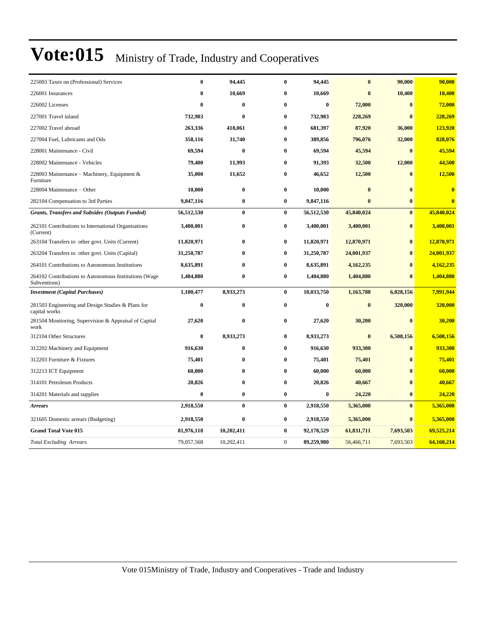| 225003 Taxes on (Professional) Services                               | $\bf{0}$     | 94,445     | $\bf{0}$       | 94,445     | $\bf{0}$     | 90,000       | 90,000     |
|-----------------------------------------------------------------------|--------------|------------|----------------|------------|--------------|--------------|------------|
| 226001 Insurances                                                     | $\bf{0}$     | 10,669     | $\bf{0}$       | 10,669     | $\mathbf{0}$ | 10,400       | 10,400     |
| 226002 Licenses                                                       | $\mathbf{0}$ | $\bf{0}$   | $\bf{0}$       | $\bf{0}$   | 72,000       | $\bf{0}$     | 72,000     |
| 227001 Travel inland                                                  | 732,983      | $\bf{0}$   | $\bf{0}$       | 732,983    | 228,269      | $\bf{0}$     | 228,269    |
| 227002 Travel abroad                                                  | 263,336      | 418,061    | $\bf{0}$       | 681,397    | 87,920       | 36,000       | 123,920    |
| 227004 Fuel, Lubricants and Oils                                      | 358,116      | 31,740     | $\bf{0}$       | 389,856    | 796,076      | 32,000       | 828,076    |
| 228001 Maintenance - Civil                                            | 69,594       | $\bf{0}$   | $\bf{0}$       | 69,594     | 45,594       | $\bf{0}$     | 45,594     |
| 228002 Maintenance - Vehicles                                         | 79,400       | 11,993     | $\bf{0}$       | 91,393     | 32,500       | 12,000       | 44,500     |
| 228003 Maintenance – Machinery, Equipment &<br>Furniture              | 35,000       | 11,652     | $\bf{0}$       | 46,652     | 12,500       | $\bf{0}$     | 12,500     |
| 228004 Maintenance - Other                                            | 10,000       | $\bf{0}$   | $\bf{0}$       | 10,000     | $\bf{0}$     | $\bf{0}$     | $\bf{0}$   |
| 282104 Compensation to 3rd Parties                                    | 9,847,116    | 0          | $\bf{0}$       | 9,847,116  | $\bf{0}$     | $\bf{0}$     | $\bf{0}$   |
| <b>Grants, Transfers and Subsides (Outputs Funded)</b>                | 56,512,530   | $\bf{0}$   | $\bf{0}$       | 56,512,530 | 45,840,024   | $\bf{0}$     | 45,840,024 |
| 262101 Contributions to International Organisations<br>(Current)      | 3,400,001    | $\bf{0}$   | 0              | 3,400,001  | 3,400,001    | $\bf{0}$     | 3,400,001  |
| 263104 Transfers to other govt. Units (Current)                       | 11,820,971   | $\bf{0}$   | $\bf{0}$       | 11,820,971 | 12,870,971   | $\bf{0}$     | 12,870,971 |
| 263204 Transfers to other govt. Units (Capital)                       | 31,250,787   | 0          | $\bf{0}$       | 31,250,787 | 24,001,937   | $\bf{0}$     | 24,001,937 |
| 264101 Contributions to Autonomous Institutions                       | 8,635,891    | 0          | $\bf{0}$       | 8,635,891  | 4,162,235    | $\mathbf{0}$ | 4,162,235  |
| 264102 Contributions to Autonomous Institutions (Wage<br>Subventions) | 1,404,880    | $\bf{0}$   | $\bf{0}$       | 1,404,880  | 1,404,880    | $\mathbf{0}$ | 1,404,880  |
| <b>Investment</b> (Capital Purchases)                                 | 1,100,477    | 8,933,273  | $\bf{0}$       | 10,033,750 | 1,163,788    | 6,828,156    | 7,991,944  |
| 281503 Engineering and Design Studies & Plans for<br>capital works    | $\bf{0}$     | $\bf{0}$   | $\bf{0}$       | $\bf{0}$   | $\bf{0}$     | 320,000      | 320,000    |
| 281504 Monitoring, Supervision & Appraisal of Capital<br>work         | 27,620       | $\bf{0}$   | 0              | 27,620     | 30,200       | $\bf{0}$     | 30,200     |
| 312104 Other Structures                                               | $\bf{0}$     | 8,933,273  | $\bf{0}$       | 8,933,273  | $\bf{0}$     | 6,508,156    | 6,508,156  |
| 312202 Machinery and Equipment                                        | 916,630      | $\bf{0}$   | $\bf{0}$       | 916,630    | 933,300      | $\bf{0}$     | 933,300    |
| 312203 Furniture & Fixtures                                           | 75,401       | $\bf{0}$   | $\bf{0}$       | 75,401     | 75,401       | $\bf{0}$     | 75,401     |
| 312213 ICT Equipment                                                  | 60,000       | 0          | $\bf{0}$       | 60,000     | 60,000       | $\bf{0}$     | 60,000     |
| 314101 Petroleum Products                                             | 20,826       | $\bf{0}$   | $\bf{0}$       | 20,826     | 40,667       | $\bf{0}$     | 40,667     |
| 314201 Materials and supplies                                         | $\bf{0}$     | $\bf{0}$   | $\bf{0}$       | $\bf{0}$   | 24,220       | $\bf{0}$     | 24,220     |
| <b>Arrears</b>                                                        | 2,918,550    | $\bf{0}$   | $\bf{0}$       | 2,918,550  | 5,365,000    | $\bf{0}$     | 5,365,000  |
| 321605 Domestic arrears (Budgeting)                                   | 2,918,550    | $\bf{0}$   | $\bf{0}$       | 2,918,550  | 5,365,000    | $\bf{0}$     | 5,365,000  |
| <b>Grand Total Vote 015</b>                                           | 81,976,118   | 10,202,411 | $\bf{0}$       | 92,178,529 | 61,831,711   | 7,693,503    | 69,525,214 |
| <b>Total Excluding Arrears</b>                                        | 79,057,568   | 10,202,411 | $\overline{0}$ | 89,259,980 | 56,466,711   | 7,693,503    | 64,160,214 |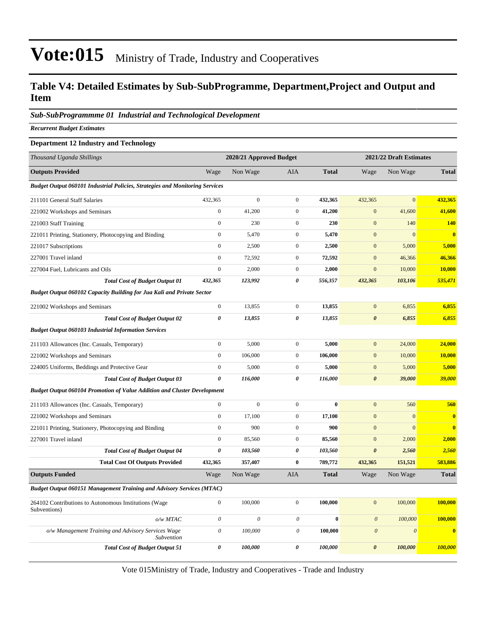#### **Table V4: Detailed Estimates by Sub-SubProgramme, Department,Project and Output and Item**

#### *Sub-SubProgrammme 01 Industrial and Technological Development*

*Recurrent Budget Estimates*

#### **Department 12 Industry and Technology**

| Thousand Uganda Shillings                                                           |                       | 2020/21 Approved Budget |                       |              |                       | 2021/22 Draft Estimates |                         |
|-------------------------------------------------------------------------------------|-----------------------|-------------------------|-----------------------|--------------|-----------------------|-------------------------|-------------------------|
| <b>Outputs Provided</b>                                                             | Wage                  | Non Wage                | AIA                   | <b>Total</b> | Wage                  | Non Wage                | <b>Total</b>            |
| <b>Budget Output 060101 Industrial Policies, Strategies and Monitoring Services</b> |                       |                         |                       |              |                       |                         |                         |
| 211101 General Staff Salaries                                                       | 432,365               | $\boldsymbol{0}$        | $\mathbf{0}$          | 432,365      | 432,365               | $\overline{0}$          | 432,365                 |
| 221002 Workshops and Seminars                                                       | $\boldsymbol{0}$      | 41,200                  | $\mathbf{0}$          | 41,200       | $\mathbf{0}$          | 41,600                  | 41,600                  |
| 221003 Staff Training                                                               | $\mathbf{0}$          | 230                     | $\mathbf{0}$          | 230          | $\overline{0}$        | 140                     | 140                     |
| 221011 Printing, Stationery, Photocopying and Binding                               | $\boldsymbol{0}$      | 5,470                   | $\mathbf{0}$          | 5,470        | $\mathbf{0}$          | $\overline{0}$          | $\overline{\mathbf{0}}$ |
| 221017 Subscriptions                                                                | $\boldsymbol{0}$      | 2,500                   | $\mathbf{0}$          | 2,500        | $\mathbf{0}$          | 5,000                   | 5,000                   |
| 227001 Travel inland                                                                | $\boldsymbol{0}$      | 72,592                  | $\mathbf{0}$          | 72,592       | $\mathbf{0}$          | 46,366                  | 46,366                  |
| 227004 Fuel, Lubricants and Oils                                                    | $\boldsymbol{0}$      | 2,000                   | $\mathbf{0}$          | 2,000        | $\mathbf{0}$          | 10,000                  | 10,000                  |
| <b>Total Cost of Budget Output 01</b>                                               | 432,365               | 123,992                 | 0                     | 556,357      | 432,365               | 103,106                 | 535,471                 |
| <b>Budget Output 060102 Capacity Building for Jua Kali and Private Sector</b>       |                       |                         |                       |              |                       |                         |                         |
| 221002 Workshops and Seminars                                                       | $\boldsymbol{0}$      | 13,855                  | $\mathbf{0}$          | 13,855       | $\overline{0}$        | 6,855                   | 6,855                   |
| <b>Total Cost of Budget Output 02</b>                                               | $\pmb{\theta}$        | 13,855                  | $\theta$              | 13,855       | $\boldsymbol{\theta}$ | 6,855                   | 6,855                   |
| <b>Budget Output 060103 Industrial Information Services</b>                         |                       |                         |                       |              |                       |                         |                         |
| 211103 Allowances (Inc. Casuals, Temporary)                                         | $\boldsymbol{0}$      | 5,000                   | $\mathbf{0}$          | 5,000        | $\overline{0}$        | 24,000                  | 24,000                  |
| 221002 Workshops and Seminars                                                       | $\boldsymbol{0}$      | 106,000                 | $\boldsymbol{0}$      | 106,000      | $\mathbf{0}$          | 10,000                  | 10,000                  |
| 224005 Uniforms, Beddings and Protective Gear                                       | $\boldsymbol{0}$      | 5,000                   | $\mathbf{0}$          | 5,000        | $\boldsymbol{0}$      | 5,000                   | 5,000                   |
| <b>Total Cost of Budget Output 03</b>                                               | $\boldsymbol{\theta}$ | 116,000                 | 0                     | 116,000      | $\boldsymbol{\theta}$ | 39,000                  | 39,000                  |
| <b>Budget Output 060104 Promotion of Value Addition and Cluster Development</b>     |                       |                         |                       |              |                       |                         |                         |
| 211103 Allowances (Inc. Casuals, Temporary)                                         | $\boldsymbol{0}$      | $\overline{0}$          | $\mathbf{0}$          | $\bf{0}$     | $\overline{0}$        | 560                     | 560                     |
| 221002 Workshops and Seminars                                                       | $\boldsymbol{0}$      | 17,100                  | $\mathbf{0}$          | 17,100       | $\mathbf{0}$          | $\mathbf{0}$            | $\bf{0}$                |
| 221011 Printing, Stationery, Photocopying and Binding                               | $\boldsymbol{0}$      | 900                     | $\mathbf{0}$          | 900          | $\boldsymbol{0}$      | $\mathbf{0}$            | $\overline{\mathbf{0}}$ |
| 227001 Travel inland                                                                | $\boldsymbol{0}$      | 85,560                  | $\mathbf{0}$          | 85,560       | $\boldsymbol{0}$      | 2,000                   | 2,000                   |
| <b>Total Cost of Budget Output 04</b>                                               | 0                     | 103,560                 | $\boldsymbol{\theta}$ | 103,560      | $\boldsymbol{\theta}$ | 2,560                   | 2,560                   |
| <b>Total Cost Of Outputs Provided</b>                                               | 432,365               | 357,407                 | $\bf{0}$              | 789,772      | 432,365               | 151,521                 | 583,886                 |
| <b>Outputs Funded</b>                                                               | Wage                  | Non Wage                | <b>AIA</b>            | <b>Total</b> | Wage                  | Non Wage                | <b>Total</b>            |
| <b>Budget Output 060151 Management Training and Advisory Services (MTAC)</b>        |                       |                         |                       |              |                       |                         |                         |
| 264102 Contributions to Autonomous Institutions (Wage<br>Subventions)               | $\boldsymbol{0}$      | 100,000                 | $\mathbf{0}$          | 100,000      | $\overline{0}$        | 100,000                 | 100,000                 |
| o/w MTAC                                                                            | $\mathcal O$          | $\theta$                | $\theta$              | $\bf{0}$     | $\boldsymbol{\theta}$ | 100,000                 | 100,000                 |
| o/w Management Training and Advisory Services Wage<br>Subvention                    | $\theta$              | 100,000                 | $\theta$              | 100,000      | $\boldsymbol{\theta}$ | $\boldsymbol{\theta}$   | $\bf{0}$                |
| <b>Total Cost of Budget Output 51</b>                                               | $\boldsymbol{\theta}$ | 100,000                 | 0                     | 100,000      | 0                     | 100,000                 | 100,000                 |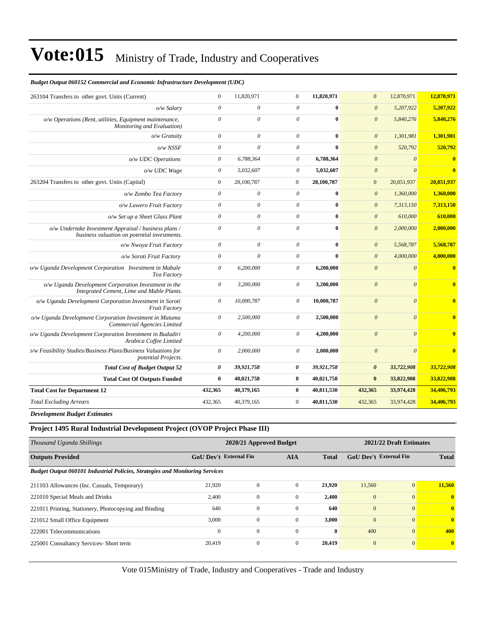#### *Budget Output 060152 Commercial and Economic Infrastructure Development (UDC)*

| 263104 Transfers to other govt. Units (Current)                                                       | $\boldsymbol{0}$      | 11,820,971 | $\overline{0}$ | 11,820,971   | $\overline{0}$        | 12,870,971 | 12,870,971              |
|-------------------------------------------------------------------------------------------------------|-----------------------|------------|----------------|--------------|-----------------------|------------|-------------------------|
| o/w Salary                                                                                            | $\theta$              | $\theta$   | $\theta$       | $\mathbf{0}$ | $\theta$              | 5,207,922  | 5,207,922               |
| o/w Operations (Rent, utilities, Equipment maintenance,<br>Monitoring and Evaluation)                 | $\theta$              | $\theta$   | $\theta$       | $\theta$     | $\boldsymbol{\theta}$ | 5,840,276  | 5,840,276               |
| $o/w$ Gratuity                                                                                        | $\theta$              | $\theta$   | $\theta$       | $\mathbf{0}$ | $\boldsymbol{0}$      | 1,301,981  | 1,301,981               |
| $o/w$ NSSF                                                                                            | $\theta$              | $\theta$   | $\theta$       | $\bf{0}$     | $\mathcal{O}$         | 520,792    | 520,792                 |
| o/w UDC Operations                                                                                    | $\theta$              | 6,788,364  | $\theta$       | 6,788,364    | $\theta$              | $\theta$   | $\overline{\mathbf{0}}$ |
| o/w UDC Wage                                                                                          | $\theta$              | 5,032,607  | $\theta$       | 5,032,607    | $\mathcal{O}$         | $\theta$   | $\mathbf{0}$            |
| 263204 Transfers to other govt. Units (Capital)                                                       | $\mathbf{0}$          | 28,100,787 | $\overline{0}$ | 28,100,787   | $\mathbf{0}$          | 20,851,937 | 20,851,937              |
| o/w Zombo Tea Factory                                                                                 | $\theta$              | $\theta$   | $\theta$       | $\bf{0}$     | $\boldsymbol{\theta}$ | 1,360,000  | 1,360,000               |
| o/w Luwero Fruit Factory                                                                              | $\theta$              | $\theta$   | $\theta$       | $\mathbf{0}$ | $\mathcal{O}$         | 7,313,150  | 7,313,150               |
| o/w Set up a Sheet Glass Plant                                                                        | $\theta$              | $\theta$   | $\theta$       | $\bf{0}$     | $\boldsymbol{0}$      | 610,000    | 610,000                 |
| o/w Undertake Investment Appraisal / business plans /<br>business valuation on potential investments. | $\theta$              | $\theta$   | $\theta$       | $\mathbf 0$  | $\mathcal{O}$         | 2,000,000  | 2,000,000               |
| o/w Nwoya Fruit Factory                                                                               | $\theta$              | $\theta$   | $\theta$       | $\mathbf{0}$ | $\mathcal{O}$         | 5,568,787  | 5,568,787               |
| o/w Soroti Fruit Factory                                                                              | $\theta$              | $\theta$   | $\theta$       | $\mathbf 0$  | $\theta$              | 4,000,000  | 4,000,000               |
| o/w Uganda Development Corporation Investment in Mabale<br>Tea Factory                                | $\boldsymbol{\theta}$ | 6,200,000  | $\theta$       | 6,200,000    | $\boldsymbol{0}$      | $\theta$   | $\overline{\mathbf{0}}$ |
| o/w Uganda Development Corporation Investment in the<br>Integrated Cement, Lime and Mable Plants.     | $\boldsymbol{\theta}$ | 3,200,000  | 0              | 3,200,000    | $\boldsymbol{\theta}$ | $\theta$   | $\bf{0}$                |
| o/w Uganda Development Corporation Investment in Soroti<br><b>Fruit Factory</b>                       | $\theta$              | 10,000,787 | $\theta$       | 10,000,787   | $\boldsymbol{0}$      | $\theta$   | $\bf{0}$                |
| o/w Uganda Development Corporation Investment in Mutuma<br>Commercial Agencies Limited                | $\theta$              | 2,500,000  | $\theta$       | 2,500,000    | $\mathcal{O}$         | $\theta$   | $\mathbf{0}$            |
| o/w Uganda Development Corporation Investment in Budadiri<br>Arabica Coffee Limited                   | $\boldsymbol{\theta}$ | 4,200,000  | $\theta$       | 4,200,000    | $\boldsymbol{\theta}$ | $\theta$   | $\overline{\mathbf{0}}$ |
| >/w Feasibility Studies/Business Plans/Business Valuations for<br>potential Projects.                 | $\theta$              | 2,000,000  | $\theta$       | 2,000,000    | $\theta$              | $\theta$   | $\mathbf{0}$            |
| <b>Total Cost of Budget Output 52</b>                                                                 | 0                     | 39,921,758 | 0              | 39,921,758   | $\boldsymbol{\theta}$ | 33,722,908 | 33,722,908              |
| <b>Total Cost Of Outputs Funded</b>                                                                   | $\bf{0}$              | 40,021,758 | $\bf{0}$       | 40,021,758   | $\bf{0}$              | 33,822,908 | 33,822,908              |
| <b>Total Cost for Department 12</b>                                                                   | 432,365               | 40,379,165 | $\bf{0}$       | 40,811,530   | 432,365               | 33,974,428 | 34,406,793              |
| <b>Total Excluding Arrears</b>                                                                        | 432,365               | 40,379,165 | $\mathbf{0}$   | 40,811,530   | 432,365               | 33,974,428 | 34,406,793              |

*Development Budget Estimates*

#### **Project 1495 Rural Industrial Development Project (OVOP Project Phase III)**

| Thousand Uganda Shillings                                                           |                               | 2020/21 Approved Budget |                | 2021/22 Draft Estimates |                               |                |              |
|-------------------------------------------------------------------------------------|-------------------------------|-------------------------|----------------|-------------------------|-------------------------------|----------------|--------------|
| <b>Outputs Provided</b>                                                             | <b>GoU Dev't External Fin</b> |                         | <b>AIA</b>     | <b>Total</b>            | <b>GoU</b> Dev't External Fin |                | <b>Total</b> |
| <b>Budget Output 060101 Industrial Policies, Strategies and Monitoring Services</b> |                               |                         |                |                         |                               |                |              |
| 211103 Allowances (Inc. Casuals, Temporary)                                         | 21,920                        | $\Omega$                | $\overline{0}$ | 21,920                  | 11,560                        | $\overline{0}$ | 11,560       |
| 221010 Special Meals and Drinks                                                     | 2.400                         | $\mathbf{0}$            | $\mathbf{0}$   | 2,400                   | $\mathbf{0}$                  | $\overline{0}$ | $\mathbf{0}$ |
| 221011 Printing, Stationery, Photocopying and Binding                               | 640                           | $\mathbf{0}$            | $\Omega$       | 640                     | $\mathbf{0}$                  | $\Omega$       | $\mathbf{0}$ |
| 221012 Small Office Equipment                                                       | 3,000                         | $\Omega$                | $\Omega$       | 3,000                   | $\mathbf{0}$                  | $\Omega$       | $\mathbf{0}$ |
| 222001 Telecommunications                                                           | $\mathbf{0}$                  | $\mathbf{0}$            | $\Omega$       | $\mathbf{0}$            | 400                           | $\Omega$       | 400          |
| 225001 Consultancy Services- Short term                                             | 20.419                        | $\mathbf{0}$            | $\overline{0}$ | 20,419                  | $\mathbf{0}$                  | $\overline{0}$ | $\mathbf{0}$ |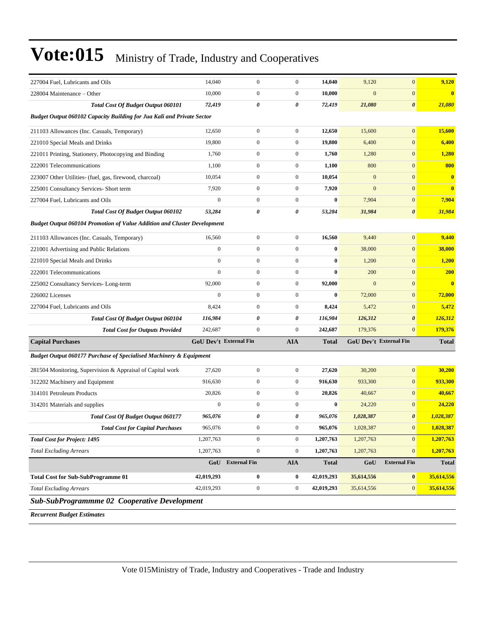| 227004 Fuel, Lubricants and Oils                                                | 14,040                        | $\boldsymbol{0}$ | $\boldsymbol{0}$ | 14,040       | 9,120        | $\mathbf{0}$                  | 9,120        |
|---------------------------------------------------------------------------------|-------------------------------|------------------|------------------|--------------|--------------|-------------------------------|--------------|
| 228004 Maintenance – Other                                                      | 10,000                        | $\boldsymbol{0}$ | $\boldsymbol{0}$ | 10,000       | $\mathbf{0}$ | $\mathbf{0}$                  | $\bf{0}$     |
| Total Cost Of Budget Output 060101                                              | 72,419                        | 0                | 0                | 72,419       | 21,080       | $\boldsymbol{\theta}$         | 21,080       |
| <b>Budget Output 060102 Capacity Building for Jua Kali and Private Sector</b>   |                               |                  |                  |              |              |                               |              |
| 211103 Allowances (Inc. Casuals, Temporary)                                     | 12,650                        | $\boldsymbol{0}$ | $\boldsymbol{0}$ | 12,650       | 15,600       | $\mathbf{0}$                  | 15,600       |
| 221010 Special Meals and Drinks                                                 | 19,800                        | $\boldsymbol{0}$ | $\boldsymbol{0}$ | 19,800       | 6,400        | $\mathbf{0}$                  | 6,400        |
| 221011 Printing, Stationery, Photocopying and Binding                           | 1,760                         | $\boldsymbol{0}$ | $\boldsymbol{0}$ | 1,760        | 1,280        | $\mathbf{0}$                  | 1,280        |
| 222001 Telecommunications                                                       | 1,100                         | $\boldsymbol{0}$ | $\boldsymbol{0}$ | 1,100        | 800          | $\mathbf{0}$                  | 800          |
| 223007 Other Utilities- (fuel, gas, firewood, charcoal)                         | 10,054                        | $\boldsymbol{0}$ | $\boldsymbol{0}$ | 10,054       | $\mathbf{0}$ | $\mathbf{0}$                  | $\bf{0}$     |
| 225001 Consultancy Services- Short term                                         | 7,920                         | $\boldsymbol{0}$ | $\boldsymbol{0}$ | 7,920        | $\mathbf{0}$ | $\mathbf{0}$                  | $\bf{0}$     |
| 227004 Fuel, Lubricants and Oils                                                | $\boldsymbol{0}$              | $\boldsymbol{0}$ | $\boldsymbol{0}$ | $\bf{0}$     | 7,904        | $\mathbf{0}$                  | 7,904        |
| <b>Total Cost Of Budget Output 060102</b>                                       | 53,284                        | 0                | 0                | 53,284       | 31,984       | $\boldsymbol{\theta}$         | 31,984       |
| <b>Budget Output 060104 Promotion of Value Addition and Cluster Development</b> |                               |                  |                  |              |              |                               |              |
| 211103 Allowances (Inc. Casuals, Temporary)                                     | 16,560                        | $\boldsymbol{0}$ | $\boldsymbol{0}$ | 16,560       | 9,440        | $\mathbf{0}$                  | 9,440        |
| 221001 Advertising and Public Relations                                         | $\boldsymbol{0}$              | $\boldsymbol{0}$ | $\boldsymbol{0}$ | $\bf{0}$     | 38,000       | $\mathbf{0}$                  | 38,000       |
| 221010 Special Meals and Drinks                                                 | $\mathbf{0}$                  | $\boldsymbol{0}$ | $\boldsymbol{0}$ | $\bf{0}$     | 1,200        | $\mathbf{0}$                  | 1,200        |
| 222001 Telecommunications                                                       | $\mathbf{0}$                  | $\boldsymbol{0}$ | $\boldsymbol{0}$ | $\bf{0}$     | 200          | $\mathbf{0}$                  | 200          |
| 225002 Consultancy Services-Long-term                                           | 92,000                        | $\boldsymbol{0}$ | $\boldsymbol{0}$ | 92,000       | $\mathbf{0}$ | $\mathbf{0}$                  | $\bf{0}$     |
| 226002 Licenses                                                                 | $\boldsymbol{0}$              | $\boldsymbol{0}$ | $\boldsymbol{0}$ | $\bf{0}$     | 72,000       | $\mathbf{0}$                  | 72,000       |
| 227004 Fuel, Lubricants and Oils                                                | 8,424                         | $\boldsymbol{0}$ | $\boldsymbol{0}$ | 8,424        | 5,472        | $\mathbf{0}$                  | 5,472        |
| <b>Total Cost Of Budget Output 060104</b>                                       | 116,984                       | 0                | 0                | 116,984      | 126,312      | $\boldsymbol{\theta}$         | 126,312      |
| <b>Total Cost for Outputs Provided</b>                                          | 242,687                       | $\boldsymbol{0}$ | $\overline{0}$   | 242,687      | 179,376      | $\overline{0}$                | 179,376      |
| <b>Capital Purchases</b>                                                        | <b>GoU Dev't External Fin</b> |                  | <b>AIA</b>       | Total        |              | <b>GoU Dev't External Fin</b> | <b>Total</b> |
| Budget Output 060177 Purchase of Specialised Machinery & Equipment              |                               |                  |                  |              |              |                               |              |
| 281504 Monitoring, Supervision & Appraisal of Capital work                      | 27,620                        | $\boldsymbol{0}$ | $\boldsymbol{0}$ | 27,620       | 30,200       | $\mathbf{0}$                  | 30,200       |
| 312202 Machinery and Equipment                                                  | 916,630                       | $\boldsymbol{0}$ | $\boldsymbol{0}$ | 916,630      | 933,300      | $\mathbf{0}$                  | 933,300      |
| 314101 Petroleum Products                                                       | 20,826                        | $\mathbf{0}$     | $\boldsymbol{0}$ | 20,826       | 40,667       | $\mathbf{0}$                  | 40,667       |
| 314201 Materials and supplies                                                   | $\mathbf{0}$                  | $\boldsymbol{0}$ | $\boldsymbol{0}$ | $\bf{0}$     | 24,220       | $\mathbf{0}$                  | 24,220       |
| <b>Total Cost Of Budget Output 060177</b>                                       | 965,076                       | 0                | 0                | 965,076      | 1,028,387    | $\boldsymbol{\theta}$         | 1,028,387    |
| <b>Total Cost for Capital Purchases</b>                                         | 965,076                       | $\boldsymbol{0}$ | $\boldsymbol{0}$ | 965,076      | 1,028,387    | $\mathbf{0}$                  | 1,028,387    |
| <b>Total Cost for Project: 1495</b>                                             | 1,207,763                     | $\boldsymbol{0}$ | $\boldsymbol{0}$ | 1,207,763    | 1,207,763    | $\mathbf{0}$                  | 1,207,763    |
| <b>Total Excluding Arrears</b>                                                  | 1,207,763                     | $\boldsymbol{0}$ | $\boldsymbol{0}$ | 1,207,763    | 1,207,763    | $\mathbf{0}$                  | 1,207,763    |
|                                                                                 |                               | GoU External Fin | <b>AIA</b>       | <b>Total</b> | GoU          | <b>External Fin</b>           | Total        |
| <b>Total Cost for Sub-SubProgramme 01</b>                                       | 42,019,293                    | $\bf{0}$         | $\bf{0}$         | 42,019,293   | 35,614,556   | $\bf{0}$                      | 35,614,556   |
| <b>Total Excluding Arrears</b>                                                  | 42,019,293                    | $\boldsymbol{0}$ | $\boldsymbol{0}$ | 42,019,293   | 35,614,556   | $\mathbf{0}$                  | 35,614,556   |
| Sub-SubProgrammme 02 Cooperative Development                                    |                               |                  |                  |              |              |                               |              |

*Recurrent Budget Estimates*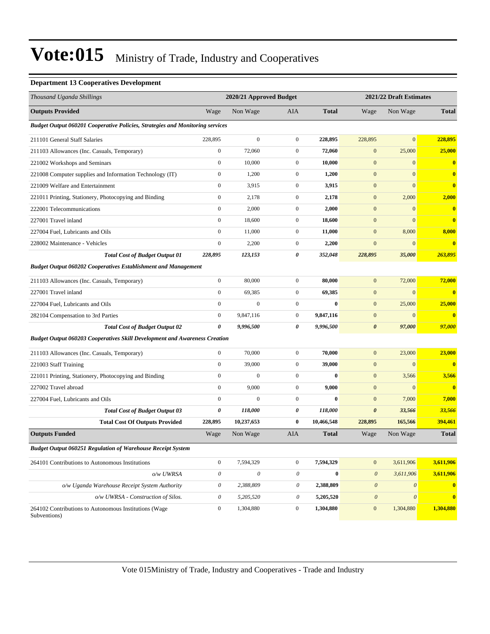#### **Department 13 Cooperatives Development**

| Thousand Uganda Shillings                                                         |                           | 2020/21 Approved Budget |                  |              |                           | 2021/22 Draft Estimates |                         |
|-----------------------------------------------------------------------------------|---------------------------|-------------------------|------------------|--------------|---------------------------|-------------------------|-------------------------|
| <b>Outputs Provided</b>                                                           | Wage                      | Non Wage                | AIA              | <b>Total</b> | Wage                      | Non Wage                | Total                   |
| Budget Output 060201 Cooperative Policies, Strategies and Monitoring services     |                           |                         |                  |              |                           |                         |                         |
| 211101 General Staff Salaries                                                     | 228,895                   | $\mathbf{0}$            | $\mathbf{0}$     | 228,895      | 228,895                   | $\overline{0}$          | 228,895                 |
| 211103 Allowances (Inc. Casuals, Temporary)                                       | $\boldsymbol{0}$          | 72,060                  | $\mathbf{0}$     | 72,060       | $\boldsymbol{0}$          | 25,000                  | 25,000                  |
| 221002 Workshops and Seminars                                                     | $\boldsymbol{0}$          | 10,000                  | $\mathbf{0}$     | 10,000       | $\boldsymbol{0}$          | $\boldsymbol{0}$        | $\boldsymbol{0}$        |
| 221008 Computer supplies and Information Technology (IT)                          | $\boldsymbol{0}$          | 1,200                   | $\mathbf{0}$     | 1,200        | $\boldsymbol{0}$          | $\boldsymbol{0}$        | $\bf{0}$                |
| 221009 Welfare and Entertainment                                                  | $\boldsymbol{0}$          | 3,915                   | $\mathbf{0}$     | 3,915        | $\mathbf{0}$              | $\overline{0}$          | $\overline{\mathbf{0}}$ |
| 221011 Printing, Stationery, Photocopying and Binding                             | $\boldsymbol{0}$          | 2,178                   | $\mathbf{0}$     | 2,178        | $\boldsymbol{0}$          | 2,000                   | 2,000                   |
| 222001 Telecommunications                                                         | $\boldsymbol{0}$          | 2,000                   | $\mathbf{0}$     | 2,000        | $\mathbf{0}$              | $\boldsymbol{0}$        | $\bf{0}$                |
| 227001 Travel inland                                                              | $\boldsymbol{0}$          | 18,600                  | $\mathbf{0}$     | 18,600       | $\boldsymbol{0}$          | $\overline{0}$          | $\bf{0}$                |
| 227004 Fuel, Lubricants and Oils                                                  | $\boldsymbol{0}$          | 11,000                  | $\mathbf{0}$     | 11,000       | $\boldsymbol{0}$          | 8,000                   | 8,000                   |
| 228002 Maintenance - Vehicles                                                     | $\boldsymbol{0}$          | 2,200                   | $\mathbf{0}$     | 2,200        | $\mathbf{0}$              | $\boldsymbol{0}$        | $\overline{\mathbf{0}}$ |
| <b>Total Cost of Budget Output 01</b>                                             | 228,895                   | 123,153                 | 0                | 352,048      | 228,895                   | 35,000                  | 263,895                 |
| <b>Budget Output 060202 Cooperatives Establishment and Management</b>             |                           |                         |                  |              |                           |                         |                         |
| 211103 Allowances (Inc. Casuals, Temporary)                                       | $\boldsymbol{0}$          | 80,000                  | $\mathbf{0}$     | 80,000       | $\mathbf{0}$              | 72,000                  | 72,000                  |
| 227001 Travel inland                                                              | $\boldsymbol{0}$          | 69,385                  | $\boldsymbol{0}$ | 69,385       | $\boldsymbol{0}$          | $\overline{0}$          | $\bf{0}$                |
| 227004 Fuel, Lubricants and Oils                                                  | $\boldsymbol{0}$          | $\mathbf{0}$            | $\mathbf{0}$     | $\bf{0}$     | $\boldsymbol{0}$          | 25,000                  | 25,000                  |
| 282104 Compensation to 3rd Parties                                                | $\boldsymbol{0}$          | 9,847,116               | $\mathbf{0}$     | 9,847,116    | $\boldsymbol{0}$          | $\boldsymbol{0}$        | $\overline{\mathbf{0}}$ |
| <b>Total Cost of Budget Output 02</b>                                             | 0                         | 9,996,500               | 0                | 9,996,500    | $\boldsymbol{\theta}$     | 97,000                  | 97,000                  |
| <b>Budget Output 060203 Cooperatives Skill Development and Awareness Creation</b> |                           |                         |                  |              |                           |                         |                         |
| 211103 Allowances (Inc. Casuals, Temporary)                                       | $\boldsymbol{0}$          | 70,000                  | $\mathbf{0}$     | 70,000       | $\boldsymbol{0}$          | 23,000                  | 23,000                  |
| 221003 Staff Training                                                             | $\boldsymbol{0}$          | 39,000                  | $\boldsymbol{0}$ | 39,000       | $\boldsymbol{0}$          | $\boldsymbol{0}$        | $\bf{0}$                |
| 221011 Printing, Stationery, Photocopying and Binding                             | $\boldsymbol{0}$          | $\boldsymbol{0}$        | $\mathbf{0}$     | $\bf{0}$     | $\boldsymbol{0}$          | 3,566                   | 3,566                   |
| 227002 Travel abroad                                                              | $\boldsymbol{0}$          | 9,000                   | $\mathbf{0}$     | 9,000        | $\boldsymbol{0}$          | $\overline{0}$          | $\overline{\mathbf{0}}$ |
| 227004 Fuel. Lubricants and Oils                                                  | $\boldsymbol{0}$          | $\mathbf{0}$            | $\mathbf{0}$     | $\bf{0}$     | $\boldsymbol{0}$          | 7,000                   | 7,000                   |
| <b>Total Cost of Budget Output 03</b>                                             | 0                         | 118,000                 | 0                | 118,000      | $\boldsymbol{\theta}$     | 33,566                  | 33,566                  |
| <b>Total Cost Of Outputs Provided</b>                                             | 228,895                   | 10,237,653              | $\bf{0}$         | 10,466,548   | 228,895                   | 165,566                 | 394,461                 |
| <b>Outputs Funded</b>                                                             | Wage                      | Non Wage                | AIA              | <b>Total</b> | Wage                      | Non Wage                | <b>Total</b>            |
| <b>Budget Output 060251 Regulation of Warehouse Receipt System</b>                |                           |                         |                  |              |                           |                         |                         |
| 264101 Contributions to Autonomous Institutions                                   | $\boldsymbol{0}$          | 7,594,329               | $\mathbf{0}$     | 7,594,329    | $\mathbf{0}$              | 3,611,906               | 3,611,906               |
| o/w UWRSA                                                                         | $\boldsymbol{\theta}$     | $\mathcal O$            | $\mathcal O$     | $\bf{0}$     | $\boldsymbol{\theta}$     | 3,611,906               | 3,611,906               |
| o/w Uganda Warehouse Receipt System Authority                                     | $\boldsymbol{\mathit{0}}$ | 2,388,809               | 0                | 2,388,809    | $\boldsymbol{\theta}$     | $\boldsymbol{\theta}$   | $\bullet$               |
| o/w UWRSA - Construction of Silos.                                                | $\theta$                  | 5,205,520               | 0                | 5,205,520    | $\boldsymbol{\mathit{0}}$ | $\boldsymbol{\theta}$   | $\bf{0}$                |
| 264102 Contributions to Autonomous Institutions (Wage<br>Subventions)             | $\boldsymbol{0}$          | 1,304,880               | $\boldsymbol{0}$ | 1,304,880    | $\boldsymbol{0}$          | 1,304,880               | 1,304,880               |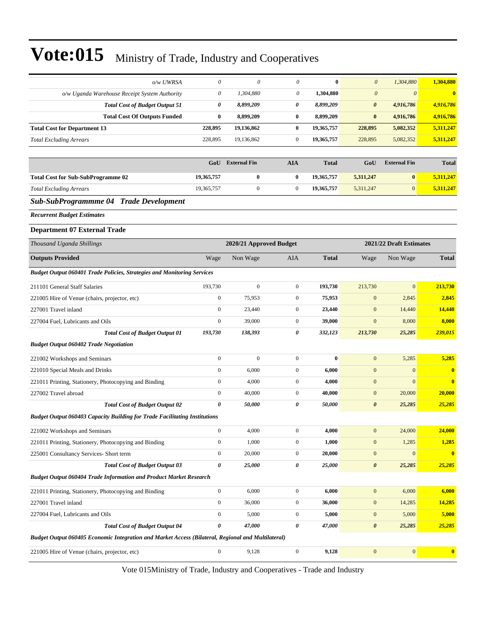| o/w UWRSA                                                                                          | $\boldsymbol{\theta}$                              | $\boldsymbol{\mathit{0}}$ | 0                     | $\bf{0}$     | $\boldsymbol{\theta}$ | 1,304,880             | 1,304,880               |  |
|----------------------------------------------------------------------------------------------------|----------------------------------------------------|---------------------------|-----------------------|--------------|-----------------------|-----------------------|-------------------------|--|
| o/w Uganda Warehouse Receipt System Authority                                                      | $\boldsymbol{\theta}$                              | 1,304,880                 | 0                     | 1,304,880    | $\boldsymbol{\theta}$ | $\boldsymbol{\theta}$ | $\bf{0}$                |  |
| <b>Total Cost of Budget Output 51</b>                                                              | $\pmb{\theta}$                                     | 8,899,209                 | $\boldsymbol{\theta}$ | 8,899,209    | $\pmb{\theta}$        | 4,916,786             | 4,916,786               |  |
| <b>Total Cost Of Outputs Funded</b>                                                                | $\bf{0}$                                           | 8,899,209                 | $\bf{0}$              | 8,899,209    | $\bf{0}$              | 4,916,786             | 4,916,786               |  |
| <b>Total Cost for Department 13</b>                                                                | 228,895                                            | 19,136,862                | $\bf{0}$              | 19,365,757   | 228,895               | 5,082,352             | 5,311,247               |  |
| <b>Total Excluding Arrears</b>                                                                     | 228,895                                            | 19,136,862                | $\mathbf{0}$          | 19,365,757   | 228,895               | 5,082,352             | 5,311,247               |  |
|                                                                                                    |                                                    |                           |                       |              |                       |                       |                         |  |
|                                                                                                    | GoU                                                | <b>External Fin</b>       | <b>AIA</b>            | <b>Total</b> | GoU                   | <b>External Fin</b>   | <b>Total</b>            |  |
| <b>Total Cost for Sub-SubProgramme 02</b>                                                          | 19,365,757                                         | $\bf{0}$                  | $\bf{0}$              | 19,365,757   | 5,311,247             | $\bf{0}$              | 5,311,247               |  |
| <b>Total Excluding Arrears</b>                                                                     | 19,365,757                                         | $\boldsymbol{0}$          | $\boldsymbol{0}$      | 19,365,757   | 5,311,247             | $\mathbf{0}$          | 5,311,247               |  |
| Sub-SubProgrammme 04 Trade Development                                                             |                                                    |                           |                       |              |                       |                       |                         |  |
| <b>Recurrent Budget Estimates</b>                                                                  |                                                    |                           |                       |              |                       |                       |                         |  |
| <b>Department 07 External Trade</b>                                                                |                                                    |                           |                       |              |                       |                       |                         |  |
| Thousand Uganda Shillings                                                                          | 2021/22 Draft Estimates<br>2020/21 Approved Budget |                           |                       |              |                       |                       |                         |  |
| <b>Outputs Provided</b>                                                                            | Wage                                               | Non Wage                  | <b>AIA</b>            | <b>Total</b> | Wage                  | Non Wage              | <b>Total</b>            |  |
| <b>Budget Output 060401 Trade Policies, Strategies and Monitoring Services</b>                     |                                                    |                           |                       |              |                       |                       |                         |  |
| 211101 General Staff Salaries                                                                      | 193,730                                            | $\mathbf{0}$              | $\mathbf{0}$          | 193,730      | 213,730               | $\mathbf{0}$          | 213,730                 |  |
| 221005 Hire of Venue (chairs, projector, etc)                                                      | $\boldsymbol{0}$                                   | 75,953                    | $\mathbf{0}$          | 75,953       | $\boldsymbol{0}$      | 2,845                 | 2,845                   |  |
| 227001 Travel inland                                                                               | $\boldsymbol{0}$                                   | 23,440                    | $\mathbf{0}$          | 23,440       | $\mathbf{0}$          | 14,440                | 14,440                  |  |
| 227004 Fuel, Lubricants and Oils                                                                   | $\boldsymbol{0}$                                   | 39,000                    | $\mathbf{0}$          | 39,000       | $\mathbf{0}$          | 8,000                 | 8,000                   |  |
| <b>Total Cost of Budget Output 01</b>                                                              | 193,730                                            | 138,393                   | 0                     | 332,123      | 213,730               | 25,285                | 239,015                 |  |
| <b>Budget Output 060402 Trade Negotiation</b>                                                      |                                                    |                           |                       |              |                       |                       |                         |  |
| 221002 Workshops and Seminars                                                                      | $\boldsymbol{0}$                                   | $\mathbf{0}$              | $\mathbf{0}$          | $\bf{0}$     | $\boldsymbol{0}$      | 5,285                 | 5,285                   |  |
| 221010 Special Meals and Drinks                                                                    | $\boldsymbol{0}$                                   | 6,000                     | $\mathbf{0}$          | 6,000        | $\boldsymbol{0}$      | $\mathbf{0}$          | $\bf{0}$                |  |
| 221011 Printing, Stationery, Photocopying and Binding                                              | $\boldsymbol{0}$                                   | 4,000                     | $\mathbf{0}$          | 4,000        | $\boldsymbol{0}$      | $\mathbf{0}$          | $\overline{\mathbf{0}}$ |  |
| 227002 Travel abroad                                                                               | $\boldsymbol{0}$                                   | 40,000                    | $\mathbf{0}$          | 40,000       | $\boldsymbol{0}$      | 20,000                | 20,000                  |  |
| <b>Total Cost of Budget Output 02</b>                                                              | $\boldsymbol{\theta}$                              | 50,000                    | 0                     | 50,000       | $\boldsymbol{\theta}$ | 25,285                | 25,285                  |  |
| <b>Budget Output 060403 Capacity Building for Trade Facilitating Institutions</b>                  |                                                    |                           |                       |              |                       |                       |                         |  |
| 221002 Workshops and Seminars                                                                      | $\boldsymbol{0}$                                   | 4,000                     | $\boldsymbol{0}$      | 4,000        | $\mathbf{0}$          | 24,000                | 24,000                  |  |
| 221011 Printing, Stationery, Photocopying and Binding                                              | $\boldsymbol{0}$                                   | 1,000                     | $\boldsymbol{0}$      | 1,000        | $\boldsymbol{0}$      | 1,285                 | 1,285                   |  |
| 225001 Consultancy Services- Short term                                                            | $\boldsymbol{0}$                                   | 20,000                    | $\boldsymbol{0}$      | 20,000       | $\boldsymbol{0}$      | $\boldsymbol{0}$      | $\mathbf{0}$            |  |
| <b>Total Cost of Budget Output 03</b>                                                              | 0                                                  | 25,000                    | $\pmb{\theta}$        | 25,000       | $\boldsymbol{\theta}$ | 25,285                | 25,285                  |  |
| <b>Budget Output 060404 Trade Information and Product Market Research</b>                          |                                                    |                           |                       |              |                       |                       |                         |  |
| 221011 Printing, Stationery, Photocopying and Binding                                              | $\boldsymbol{0}$                                   | 6,000                     | $\boldsymbol{0}$      | 6,000        | $\bf{0}$              | 6,000                 | 6,000                   |  |
| 227001 Travel inland                                                                               | $\boldsymbol{0}$                                   | 36,000                    | $\boldsymbol{0}$      | 36,000       | $\mathbf{0}$          | 14,285                | 14,285                  |  |
| 227004 Fuel, Lubricants and Oils                                                                   | $\boldsymbol{0}$                                   | 5,000                     | $\boldsymbol{0}$      | 5,000        | $\boldsymbol{0}$      | 5,000                 | 5,000                   |  |
| <b>Total Cost of Budget Output 04</b>                                                              | 0                                                  | 47,000                    | 0                     | 47,000       | $\pmb{\theta}$        | 25,285                | 25,285                  |  |
| Budget Output 060405 Economic Integration and Market Access (Bilateral, Regional and Multilateral) |                                                    |                           |                       |              |                       |                       |                         |  |
| 221005 Hire of Venue (chairs, projector, etc)                                                      | $\boldsymbol{0}$                                   | 9,128                     | $\boldsymbol{0}$      | 9,128        | $\boldsymbol{0}$      | $\boldsymbol{0}$      | $\bf{0}$                |  |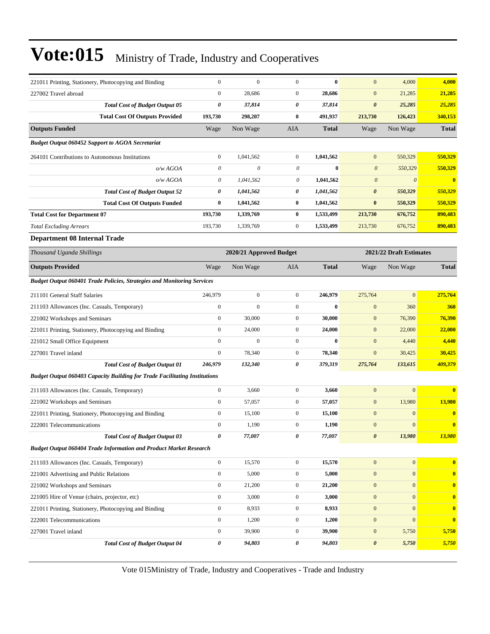| 221011 Printing, Stationery, Photocopying and Binding                             | $\boldsymbol{0}$      | $\boldsymbol{0}$        | $\mathbf{0}$     | $\bf{0}$     | $\mathbf{0}$          | 4,000                   | 4,000                   |
|-----------------------------------------------------------------------------------|-----------------------|-------------------------|------------------|--------------|-----------------------|-------------------------|-------------------------|
| 227002 Travel abroad                                                              | $\boldsymbol{0}$      | 28,686                  | $\mathbf{0}$     | 28,686       | $\mathbf{0}$          | 21,285                  | 21,285                  |
| <b>Total Cost of Budget Output 05</b>                                             | 0                     | 37,814                  | 0                | 37,814       | $\boldsymbol{\theta}$ | 25,285                  | 25,285                  |
| <b>Total Cost Of Outputs Provided</b>                                             | 193,730               | 298,207                 | $\bf{0}$         | 491,937      | 213,730               | 126,423                 | 340,153                 |
| <b>Outputs Funded</b>                                                             | Wage                  | Non Wage                | AIA              | <b>Total</b> | Wage                  | Non Wage                | <b>Total</b>            |
| <b>Budget Output 060452 Support to AGOA Secretariat</b>                           |                       |                         |                  |              |                       |                         |                         |
| 264101 Contributions to Autonomous Institutions                                   | $\boldsymbol{0}$      | 1,041,562               | $\mathbf{0}$     | 1,041,562    | $\mathbf{0}$          | 550,329                 | 550,329                 |
| o/w AGOA                                                                          | $\boldsymbol{\theta}$ | 0                       | $\theta$         | $\bf{0}$     | $\boldsymbol{0}$      | 550,329                 | 550,329                 |
| o/wAGOA                                                                           | 0                     | 1,041,562               | 0                | 1,041,562    | $\boldsymbol{\theta}$ | $\boldsymbol{\theta}$   | $\bf{0}$                |
| <b>Total Cost of Budget Output 52</b>                                             | 0                     | 1,041,562               | 0                | 1,041,562    | $\boldsymbol{\theta}$ | 550,329                 | 550,329                 |
| <b>Total Cost Of Outputs Funded</b>                                               | $\bf{0}$              | 1,041,562               | $\bf{0}$         | 1,041,562    | $\bf{0}$              | 550,329                 | 550,329                 |
| <b>Total Cost for Department 07</b>                                               | 193,730               | 1,339,769               | $\bf{0}$         | 1,533,499    | 213,730               | 676,752                 | 890,483                 |
| <b>Total Excluding Arrears</b>                                                    | 193,730               | 1,339,769               | $\boldsymbol{0}$ | 1,533,499    | 213,730               | 676,752                 | 890,483                 |
| <b>Department 08 Internal Trade</b>                                               |                       |                         |                  |              |                       |                         |                         |
| Thousand Uganda Shillings                                                         |                       | 2020/21 Approved Budget |                  |              |                       | 2021/22 Draft Estimates |                         |
| <b>Outputs Provided</b>                                                           | Wage                  | Non Wage                | AIA              | <b>Total</b> | Wage                  | Non Wage                | <b>Total</b>            |
| <b>Budget Output 060401 Trade Policies, Strategies and Monitoring Services</b>    |                       |                         |                  |              |                       |                         |                         |
| 211101 General Staff Salaries                                                     | 246,979               | $\boldsymbol{0}$        | $\mathbf{0}$     | 246,979      | 275,764               | $\mathbf{0}$            | 275,764                 |
| 211103 Allowances (Inc. Casuals, Temporary)                                       | $\boldsymbol{0}$      | $\mathbf{0}$            | $\mathbf{0}$     | $\bf{0}$     | $\mathbf{0}$          | 360                     | 360                     |
| 221002 Workshops and Seminars                                                     | $\mathbf{0}$          | 30,000                  | $\mathbf{0}$     | 30,000       | $\mathbf{0}$          | 76,390                  | 76,390                  |
| 221011 Printing, Stationery, Photocopying and Binding                             | $\mathbf{0}$          | 24,000                  | $\mathbf{0}$     | 24,000       | $\mathbf{0}$          | 22,000                  | 22,000                  |
| 221012 Small Office Equipment                                                     | $\boldsymbol{0}$      | $\mathbf{0}$            | $\boldsymbol{0}$ | $\bf{0}$     | $\mathbf{0}$          | 4,440                   | 4,440                   |
| 227001 Travel inland                                                              | $\boldsymbol{0}$      | 78,340                  | $\mathbf{0}$     | 78,340       | $\mathbf{0}$          | 30,425                  | 30,425                  |
| <b>Total Cost of Budget Output 01</b>                                             | 246,979               | 132,340                 | 0                | 379,319      | 275,764               | 133,615                 | 409,379                 |
| <b>Budget Output 060403 Capacity Building for Trade Facilitating Institutions</b> |                       |                         |                  |              |                       |                         |                         |
| 211103 Allowances (Inc. Casuals, Temporary)                                       | $\boldsymbol{0}$      | 3,660                   | $\boldsymbol{0}$ | 3,660        | $\boldsymbol{0}$      | $\boldsymbol{0}$        | $\bf{0}$                |
| 221002 Workshops and Seminars                                                     | $\boldsymbol{0}$      | 57,057                  | $\mathbf{0}$     | 57,057       | $\mathbf{0}$          | 13,980                  | 13,980                  |
| 221011 Printing, Stationery, Photocopying and Binding                             | $\boldsymbol{0}$      | 15,100                  | $\mathbf{0}$     | 15,100       | $\boldsymbol{0}$      | $\mathbf{0}$            | $\bf{0}$                |
| 222001 Telecommunications                                                         | $\boldsymbol{0}$      | 1,190                   | $\mathbf{0}$     | 1,190        | $\mathbf{0}$          | $\mathbf{0}$            | $\bf{0}$                |
| <b>Total Cost of Budget Output 03</b>                                             | 0                     | 77,007                  | 0                | 77,007       | $\boldsymbol{\theta}$ | 13,980                  | 13,980                  |
| <b>Budget Output 060404 Trade Information and Product Market Research</b>         |                       |                         |                  |              |                       |                         |                         |
| 211103 Allowances (Inc. Casuals, Temporary)                                       | $\boldsymbol{0}$      | 15,570                  | $\overline{0}$   | 15,570       | $\mathbf{0}$          | $\boldsymbol{0}$        | $\bf{0}$                |
| 221001 Advertising and Public Relations                                           | $\boldsymbol{0}$      | 5,000                   | $\boldsymbol{0}$ | 5,000        | $\boldsymbol{0}$      | $\mathbf{0}$            | $\mathbf{0}$            |
| 221002 Workshops and Seminars                                                     | $\boldsymbol{0}$      | 21,200                  | $\boldsymbol{0}$ | 21,200       | $\mathbf{0}$          | $\mathbf{0}$            | $\bf{0}$                |
| 221005 Hire of Venue (chairs, projector, etc)                                     | $\boldsymbol{0}$      | 3,000                   | $\boldsymbol{0}$ | 3,000        | $\boldsymbol{0}$      | $\mathbf{0}$            | $\overline{\mathbf{0}}$ |
| 221011 Printing, Stationery, Photocopying and Binding                             | $\boldsymbol{0}$      | 8,933                   | $\overline{0}$   | 8,933        | $\mathbf{0}$          | $\mathbf{0}$            | $\bf{0}$                |
| 222001 Telecommunications                                                         | $\boldsymbol{0}$      | 1,200                   | $\overline{0}$   | 1,200        | $\boldsymbol{0}$      | $\mathbf{0}$            | $\bf{0}$                |
| 227001 Travel inland                                                              | $\boldsymbol{0}$      | 39,900                  | $\boldsymbol{0}$ | 39,900       | $\boldsymbol{0}$      | 5,750                   | 5,750                   |
| <b>Total Cost of Budget Output 04</b>                                             | 0                     | 94,803                  | 0                | 94,803       | $\boldsymbol{\theta}$ | 5,750                   | 5,750                   |
|                                                                                   |                       |                         |                  |              |                       |                         |                         |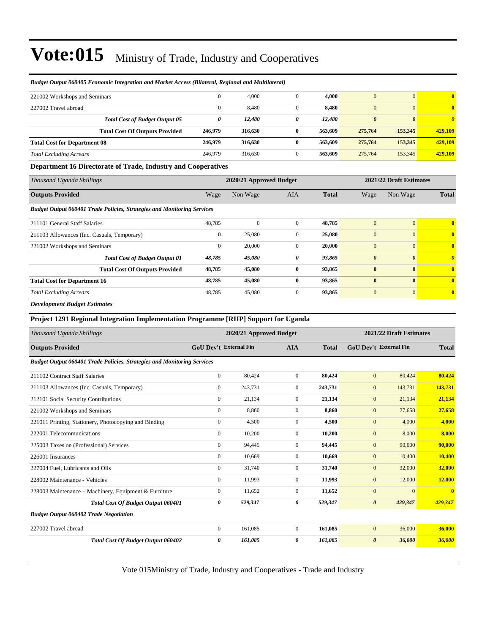| 221002 Workshops and Seminars       |                                       | $\mathbf{0}$ | 4,000   |   | 4.000   |              | $\mathbf{0}$          | $\mathbf{0}$          |
|-------------------------------------|---------------------------------------|--------------|---------|---|---------|--------------|-----------------------|-----------------------|
| 227002 Travel abroad                |                                       | $\mathbf{0}$ | 8,480   |   | 8,480   | $\mathbf{0}$ | $\mathbf{0}$          | $\bf{0}$              |
|                                     | <b>Total Cost of Budget Output 05</b> | 0            | 12,480  | 0 | 12,480  | 0            | $\boldsymbol{\theta}$ | $\boldsymbol{\theta}$ |
|                                     | <b>Total Cost Of Outputs Provided</b> | 246,979      | 316,630 | 0 | 563,609 | 275,764      | 153,345               | 429,109               |
| <b>Total Cost for Department 08</b> |                                       | 246,979      | 316,630 | 0 | 563,609 | 275,764      | 153,345               | 429,109               |
| <b>Total Excluding Arrears</b>      |                                       | 246,979      | 316.630 | 0 | 563,609 | 275,764      | 153,345               | 429,109               |

#### *Budget Output 060405 Economic Integration and Market Access (Bilateral, Regional and Multilateral)*

#### **Department 16 Directorate of Trade, Industry and Cooperatives**

| Thousand Uganda Shillings                                                      | 2020/21 Approved Budget |              |              |              | 2021/22 Draft Estimates |              |                |
|--------------------------------------------------------------------------------|-------------------------|--------------|--------------|--------------|-------------------------|--------------|----------------|
| <b>Outputs Provided</b>                                                        | Wage                    | Non Wage     | AIA          | <b>Total</b> | Wage                    | Non Wage     | <b>Total</b>   |
| <b>Budget Output 060401 Trade Policies, Strategies and Monitoring Services</b> |                         |              |              |              |                         |              |                |
| 211101 General Staff Salaries                                                  | 48,785                  | $\mathbf{0}$ | $\mathbf{0}$ | 48,785       | $\overline{0}$          | $\Omega$     | $\mathbf{0}$   |
| 211103 Allowances (Inc. Casuals, Temporary)                                    | $\mathbf{0}$            | 25,080       | $\mathbf{0}$ | 25,080       | $\overline{0}$          | $\theta$     | $\mathbf{0}$   |
| 221002 Workshops and Seminars                                                  | $\mathbf{0}$            | 20,000       | $\mathbf{0}$ | 20,000       | $\mathbf{0}$            | $\Omega$     | $\mathbf{0}$   |
| <b>Total Cost of Budget Output 01</b>                                          | 48,785                  | 45,080       | 0            | 93,865       | $\boldsymbol{\theta}$   | $\theta$     | $\theta$       |
| <b>Total Cost Of Outputs Provided</b>                                          | 48,785                  | 45,080       | $\bf{0}$     | 93,865       | $\bf{0}$                | $\mathbf{0}$ | $\overline{0}$ |
| <b>Total Cost for Department 16</b>                                            | 48,785                  | 45,080       | $\bf{0}$     | 93,865       | $\bf{0}$                | $\mathbf{0}$ | $\overline{0}$ |
| <b>Total Excluding Arrears</b>                                                 | 48,785                  | 45,080       | $\mathbf{0}$ | 93,865       | $\mathbf{0}$            | $\Omega$     | $\mathbf{0}$   |
| .                                                                              |                         |              |              |              |                         |              |                |

*Development Budget Estimates*

#### **Project 1291 Regional Integration Implementation Programme [RIIP] Support for Uganda**

| Thousand Uganda Shillings                                                      |                               | 2020/21 Approved Budget |                |              |                       | 2021/22 Draft Estimates       |                         |  |  |
|--------------------------------------------------------------------------------|-------------------------------|-------------------------|----------------|--------------|-----------------------|-------------------------------|-------------------------|--|--|
| <b>Outputs Provided</b>                                                        | <b>GoU Dev't External Fin</b> |                         | <b>AIA</b>     | <b>Total</b> |                       | <b>GoU Dev't External Fin</b> | <b>Total</b>            |  |  |
| <b>Budget Output 060401 Trade Policies, Strategies and Monitoring Services</b> |                               |                         |                |              |                       |                               |                         |  |  |
| 211102 Contract Staff Salaries                                                 | $\mathbf{0}$                  | 80,424                  | $\overline{0}$ | 80,424       | $\mathbf{0}$          | 80,424                        | 80,424                  |  |  |
| 211103 Allowances (Inc. Casuals, Temporary)                                    | $\mathbf{0}$                  | 243,731                 | $\overline{0}$ | 243,731      | $\mathbf{0}$          | 143,731                       | 143,731                 |  |  |
| 212101 Social Security Contributions                                           | $\mathbf{0}$                  | 21,134                  | $\overline{0}$ | 21,134       | $\mathbf{0}$          | 21,134                        | 21,134                  |  |  |
| 221002 Workshops and Seminars                                                  | $\mathbf{0}$                  | 8,860                   | $\Omega$       | 8,860        | $\mathbf{0}$          | 27,658                        | 27,658                  |  |  |
| 221011 Printing, Stationery, Photocopying and Binding                          | $\mathbf{0}$                  | 4,500                   | $\overline{0}$ | 4,500        | $\mathbf{0}$          | 4,000                         | 4,000                   |  |  |
| 222001 Telecommunications                                                      | $\mathbf{0}$                  | 10,200                  | $\overline{0}$ | 10,200       | $\mathbf{0}$          | 8,000                         | 8,000                   |  |  |
| 225003 Taxes on (Professional) Services                                        | $\mathbf{0}$                  | 94,445                  | $\overline{0}$ | 94,445       | $\mathbf{0}$          | 90,000                        | 90,000                  |  |  |
| 226001 Insurances                                                              | $\mathbf{0}$                  | 10,669                  | $\mathbf{0}$   | 10,669       | $\mathbf{0}$          | 10,400                        | 10,400                  |  |  |
| 227004 Fuel, Lubricants and Oils                                               | $\mathbf{0}$                  | 31,740                  | $\overline{0}$ | 31,740       | $\mathbf{0}$          | 32,000                        | 32,000                  |  |  |
| 228002 Maintenance - Vehicles                                                  | $\mathbf{0}$                  | 11,993                  | $\overline{0}$ | 11,993       | $\mathbf{0}$          | 12,000                        | <b>12,000</b>           |  |  |
| 228003 Maintenance – Machinery, Equipment & Furniture                          | 0                             | 11,652                  | $\overline{0}$ | 11,652       | $\mathbf{0}$          | $\overline{0}$                | $\overline{\mathbf{0}}$ |  |  |
| <b>Total Cost Of Budget Output 060401</b>                                      | 0                             | 529,347                 | 0              | 529,347      | $\boldsymbol{\theta}$ | 429,347                       | 429,347                 |  |  |
| <b>Budget Output 060402 Trade Negotiation</b>                                  |                               |                         |                |              |                       |                               |                         |  |  |
| 227002 Travel abroad                                                           | $\mathbf{0}$                  | 161,085                 | $\overline{0}$ | 161,085      | $\mathbf{0}$          | 36,000                        | 36,000                  |  |  |
| Total Cost Of Budget Output 060402                                             | 0                             | 161,085                 | 0              | 161,085      | $\boldsymbol{\theta}$ | 36,000                        | 36,000                  |  |  |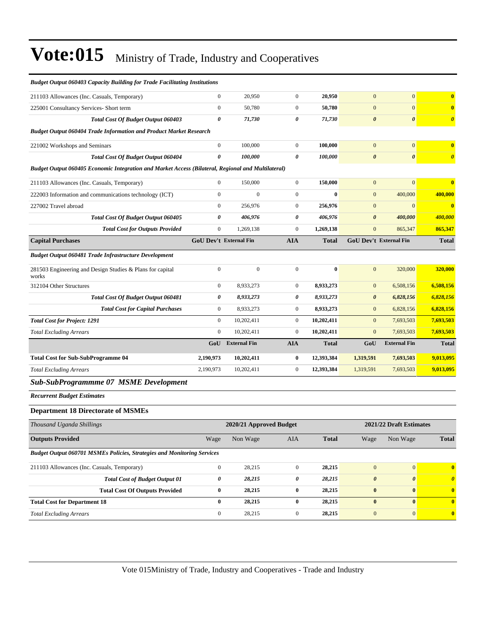| <b>Budget Output 060403 Capacity Building for Trade Facilitating Institutions</b>                  |                       |                               |                       |              |                       |                               |                         |
|----------------------------------------------------------------------------------------------------|-----------------------|-------------------------------|-----------------------|--------------|-----------------------|-------------------------------|-------------------------|
| 211103 Allowances (Inc. Casuals, Temporary)                                                        | $\boldsymbol{0}$      | 20,950                        | $\boldsymbol{0}$      | 20,950       | $\mathbf{0}$          | $\mathbf{0}$                  | $\bf{0}$                |
| 225001 Consultancy Services- Short term                                                            | $\boldsymbol{0}$      | 50,780                        | $\boldsymbol{0}$      | 50,780       | $\mathbf{0}$          | $\mathbf{0}$                  | $\bf{0}$                |
| Total Cost Of Budget Output 060403                                                                 | $\boldsymbol{\theta}$ | 71,730                        | 0                     | 71,730       | $\boldsymbol{\theta}$ | $\boldsymbol{\theta}$         | $\boldsymbol{\theta}$   |
| Budget Output 060404 Trade Information and Product Market Research                                 |                       |                               |                       |              |                       |                               |                         |
| 221002 Workshops and Seminars                                                                      | $\boldsymbol{0}$      | 100,000                       | $\mathbf{0}$          | 100,000      | $\mathbf{0}$          | $\mathbf{0}$                  | $\bf{0}$                |
| <b>Total Cost Of Budget Output 060404</b>                                                          | $\theta$              | 100,000                       | $\boldsymbol{\theta}$ | 100,000      | $\boldsymbol{\theta}$ | $\boldsymbol{\theta}$         | $\boldsymbol{\theta}$   |
| Budget Output 060405 Economic Integration and Market Access (Bilateral, Regional and Multilateral) |                       |                               |                       |              |                       |                               |                         |
| 211103 Allowances (Inc. Casuals, Temporary)                                                        | $\mathbf{0}$          | 150,000                       | $\boldsymbol{0}$      | 150,000      | $\mathbf{0}$          | $\mathbf{0}$                  | $\bf{0}$                |
| 222003 Information and communications technology (ICT)                                             | $\boldsymbol{0}$      | $\overline{0}$                | $\boldsymbol{0}$      | $\bf{0}$     | $\mathbf{0}$          | 400,000                       | 400,000                 |
| 227002 Travel abroad                                                                               | $\mathbf{0}$          | 256,976                       | $\boldsymbol{0}$      | 256,976      | $\mathbf{0}$          | $\mathbf{0}$                  | $\bf{0}$                |
| Total Cost Of Budget Output 060405                                                                 | 0                     | 406,976                       | 0                     | 406,976      | $\boldsymbol{\theta}$ | 400,000                       | 400,000                 |
| <b>Total Cost for Outputs Provided</b>                                                             | $\boldsymbol{0}$      | 1,269,138                     | $\boldsymbol{0}$      | 1,269,138    | $\mathbf{0}$          | 865,347                       | 865,347                 |
| <b>Capital Purchases</b>                                                                           |                       | <b>GoU Dev't External Fin</b> | <b>AIA</b>            | <b>Total</b> |                       | <b>GoU Dev't External Fin</b> | <b>Total</b>            |
| <b>Budget Output 060481 Trade Infrastructure Development</b>                                       |                       |                               |                       |              |                       |                               |                         |
| 281503 Engineering and Design Studies & Plans for capital<br>works                                 | $\boldsymbol{0}$      | $\mathbf{0}$                  | $\boldsymbol{0}$      | $\bf{0}$     | $\mathbf{0}$          | 320,000                       | 320,000                 |
| 312104 Other Structures                                                                            | $\boldsymbol{0}$      | 8,933,273                     | $\boldsymbol{0}$      | 8,933,273    | $\mathbf{0}$          | 6,508,156                     | 6,508,156               |
| Total Cost Of Budget Output 060481                                                                 | 0                     | 8,933,273                     | 0                     | 8,933,273    | $\boldsymbol{\theta}$ | 6,828,156                     | 6,828,156               |
| <b>Total Cost for Capital Purchases</b>                                                            | $\mathbf{0}$          | 8,933,273                     | $\boldsymbol{0}$      | 8,933,273    | $\mathbf{0}$          | 6,828,156                     | 6,828,156               |
| <b>Total Cost for Project: 1291</b>                                                                | $\mathbf{0}$          | 10,202,411                    | $\boldsymbol{0}$      | 10,202,411   | $\mathbf{0}$          | 7,693,503                     | 7,693,503               |
| <b>Total Excluding Arrears</b>                                                                     | $\mathbf{0}$          | 10,202,411                    | $\mathbf{0}$          | 10,202,411   | $\mathbf{0}$          | 7,693,503                     | 7,693,503               |
|                                                                                                    | GoU                   | <b>External Fin</b>           | <b>AIA</b>            | <b>Total</b> | GoU                   | <b>External Fin</b>           | <b>Total</b>            |
| <b>Total Cost for Sub-SubProgramme 04</b>                                                          | 2,190,973             | 10,202,411                    | $\bf{0}$              | 12,393,384   | 1,319,591             | 7,693,503                     | 9,013,095               |
| <b>Total Excluding Arrears</b>                                                                     | 2,190,973             | 10,202,411                    | $\boldsymbol{0}$      | 12,393,384   | 1,319,591             | 7,693,503                     | 9,013,095               |
| Sub-SubProgrammme 07 MSME Development                                                              |                       |                               |                       |              |                       |                               |                         |
| <b>Recurrent Budget Estimates</b>                                                                  |                       |                               |                       |              |                       |                               |                         |
| <b>Department 18 Directorate of MSMEs</b>                                                          |                       |                               |                       |              |                       |                               |                         |
| Thousand Uganda Shillings                                                                          |                       | 2020/21 Approved Budget       |                       |              |                       | 2021/22 Draft Estimates       |                         |
| <b>Outputs Provided</b>                                                                            | Wage                  | Non Wage                      | <b>AIA</b>            | <b>Total</b> | Wage                  | Non Wage                      | <b>Total</b>            |
| Budget Output 060701 MSMEs Policies, Strategies and Monitoring Services                            |                       |                               |                       |              |                       |                               |                         |
| 211103 Allowances (Inc. Casuals, Temporary)                                                        | $\boldsymbol{0}$      | 28,215                        | $\boldsymbol{0}$      | 28,215       | $\mathbf{0}$          | 0                             | $\overline{\mathbf{0}}$ |
| <b>Total Cost of Budget Output 01</b>                                                              | $\pmb{\theta}$        | 28,215                        | 0                     | 28,215       | $\pmb{\theta}$        | $\boldsymbol{\theta}$         | $\boldsymbol{\theta}$   |
| <b>Total Cost Of Outputs Provided</b>                                                              | $\bf{0}$              | 28,215                        | $\bf{0}$              | 28,215       | $\bf{0}$              | $\bf{0}$                      | $\mathbf{0}$            |
| <b>Total Cost for Department 18</b>                                                                | $\bf{0}$              | 28,215                        | 0                     | 28,215       | $\bf{0}$              | $\bf{0}$                      | $\mathbf{0}$            |
| <b>Total Excluding Arrears</b>                                                                     | $\boldsymbol{0}$      | 28,215                        | $\boldsymbol{0}$      | 28,215       | $\boldsymbol{0}$      | $\bf{0}$                      | $\mathbf{0}$            |
|                                                                                                    |                       |                               |                       |              |                       |                               |                         |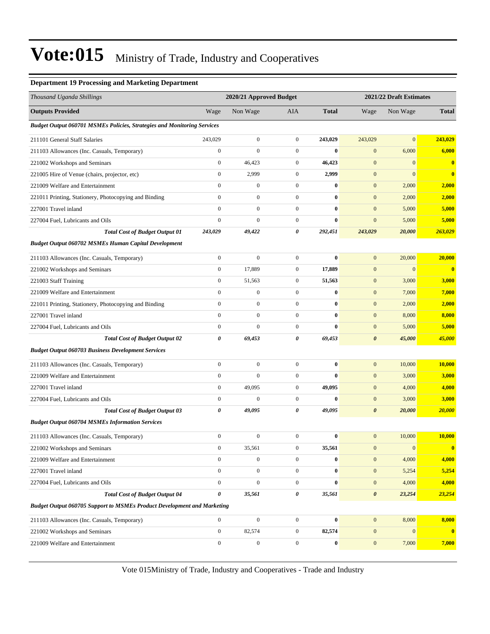#### **Department 19 Processing and Marketing Department**

| Thousand Uganda Shillings                                                      |                  | 2020/21 Approved Budget |                  |              |                       | 2021/22 Draft Estimates |              |
|--------------------------------------------------------------------------------|------------------|-------------------------|------------------|--------------|-----------------------|-------------------------|--------------|
| <b>Outputs Provided</b>                                                        | Wage             | Non Wage                | <b>AIA</b>       | <b>Total</b> | Wage                  | Non Wage                | <b>Total</b> |
| <b>Budget Output 060701 MSMEs Policies, Strategies and Monitoring Services</b> |                  |                         |                  |              |                       |                         |              |
| 211101 General Staff Salaries                                                  | 243,029          | $\boldsymbol{0}$        | $\overline{0}$   | 243,029      | 243,029               | $\overline{0}$          | 243,029      |
| 211103 Allowances (Inc. Casuals, Temporary)                                    | $\boldsymbol{0}$ | $\boldsymbol{0}$        | $\mathbf{0}$     | $\bf{0}$     | $\mathbf{0}$          | 6,000                   | 6,000        |
| 221002 Workshops and Seminars                                                  | $\boldsymbol{0}$ | 46,423                  | $\mathbf{0}$     | 46,423       | $\boldsymbol{0}$      | $\mathbf{0}$            | $\bf{0}$     |
| 221005 Hire of Venue (chairs, projector, etc)                                  | $\boldsymbol{0}$ | 2,999                   | $\mathbf{0}$     | 2,999        | $\boldsymbol{0}$      | $\mathbf{0}$            | $\bf{0}$     |
| 221009 Welfare and Entertainment                                               | $\overline{0}$   | $\mathbf{0}$            | $\overline{0}$   | $\bf{0}$     | $\mathbf{0}$          | 2,000                   | 2,000        |
| 221011 Printing, Stationery, Photocopying and Binding                          | $\mathbf{0}$     | $\overline{0}$          | $\overline{0}$   | $\bf{0}$     | $\mathbf{0}$          | 2,000                   | 2,000        |
| 227001 Travel inland                                                           | $\overline{0}$   | $\overline{0}$          | $\overline{0}$   | $\bf{0}$     | $\mathbf{0}$          | 5,000                   | 5,000        |
| 227004 Fuel, Lubricants and Oils                                               | $\boldsymbol{0}$ | $\boldsymbol{0}$        | $\overline{0}$   | $\bf{0}$     | $\mathbf{0}$          | 5,000                   | 5,000        |
| <b>Total Cost of Budget Output 01</b>                                          | 243,029          | 49,422                  | 0                | 292,451      | 243,029               | 20,000                  | 263,029      |
| <b>Budget Output 060702 MSMEs Human Capital Development</b>                    |                  |                         |                  |              |                       |                         |              |
| 211103 Allowances (Inc. Casuals, Temporary)                                    | $\boldsymbol{0}$ | $\mathbf{0}$            | $\overline{0}$   | $\bf{0}$     | $\mathbf{0}$          | 20,000                  | 20,000       |
| 221002 Workshops and Seminars                                                  | $\boldsymbol{0}$ | 17,889                  | $\boldsymbol{0}$ | 17,889       | $\mathbf{0}$          | $\boldsymbol{0}$        | $\mathbf{0}$ |
| 221003 Staff Training                                                          | $\boldsymbol{0}$ | 51,563                  | $\boldsymbol{0}$ | 51,563       | $\mathbf{0}$          | 3,000                   | 3,000        |
| 221009 Welfare and Entertainment                                               | $\overline{0}$   | $\mathbf{0}$            | $\overline{0}$   | $\bf{0}$     | $\mathbf{0}$          | 7,000                   | 7,000        |
| 221011 Printing, Stationery, Photocopying and Binding                          | $\overline{0}$   | $\overline{0}$          | $\mathbf{0}$     | $\bf{0}$     | $\mathbf{0}$          | 2,000                   | 2,000        |
| 227001 Travel inland                                                           | $\overline{0}$   | $\boldsymbol{0}$        | $\overline{0}$   | $\bf{0}$     | $\mathbf{0}$          | 8,000                   | 8,000        |
| 227004 Fuel, Lubricants and Oils                                               | $\boldsymbol{0}$ | $\overline{0}$          | $\overline{0}$   | $\bf{0}$     | $\mathbf{0}$          | 5,000                   | 5,000        |
| <b>Total Cost of Budget Output 02</b>                                          | 0                | 69,453                  | 0                | 69,453       | $\boldsymbol{\theta}$ | 45,000                  | 45,000       |
| <b>Budget Output 060703 Business Development Services</b>                      |                  |                         |                  |              |                       |                         |              |
| 211103 Allowances (Inc. Casuals, Temporary)                                    | $\boldsymbol{0}$ | $\boldsymbol{0}$        | $\overline{0}$   | $\bf{0}$     | $\mathbf{0}$          | 10,000                  | 10,000       |
| 221009 Welfare and Entertainment                                               | $\boldsymbol{0}$ | $\mathbf{0}$            | $\overline{0}$   | $\bf{0}$     | $\mathbf{0}$          | 3,000                   | 3,000        |
| 227001 Travel inland                                                           | $\overline{0}$   | 49,095                  | $\overline{0}$   | 49,095       | $\mathbf{0}$          | 4,000                   | 4,000        |
| 227004 Fuel, Lubricants and Oils                                               | $\boldsymbol{0}$ | $\mathbf{0}$            | $\mathbf{0}$     | $\bf{0}$     | $\mathbf{0}$          | 3,000                   | 3,000        |
| <b>Total Cost of Budget Output 03</b>                                          | 0                | 49,095                  | 0                | 49,095       | $\boldsymbol{\theta}$ | 20,000                  | 20,000       |
| <b>Budget Output 060704 MSMEs Information Services</b>                         |                  |                         |                  |              |                       |                         |              |
| 211103 Allowances (Inc. Casuals, Temporary)                                    | $\boldsymbol{0}$ | $\boldsymbol{0}$        | $\mathbf{0}$     | $\bf{0}$     | $\mathbf{0}$          | 10,000                  | 10,000       |
| 221002 Workshops and Seminars                                                  | $\boldsymbol{0}$ | 35,561                  | $\boldsymbol{0}$ | 35,561       | $\boldsymbol{0}$      | $\boldsymbol{0}$        | $\bf{0}$     |
| 221009 Welfare and Entertainment                                               | $\overline{0}$   | $\boldsymbol{0}$        | $\overline{0}$   | $\bf{0}$     | $\boldsymbol{0}$      | 4,000                   | 4,000        |
| 227001 Travel inland                                                           | $\boldsymbol{0}$ | $\boldsymbol{0}$        | $\overline{0}$   | $\bf{0}$     | $\mathbf{0}$          | 5,254                   | 5,254        |
| 227004 Fuel, Lubricants and Oils                                               | $\overline{0}$   | $\overline{0}$          | $\overline{0}$   | $\bf{0}$     | $\mathbf{0}$          | 4,000                   | 4,000        |
| <b>Total Cost of Budget Output 04</b>                                          | 0                | 35,561                  | 0                | 35,561       | $\boldsymbol{\theta}$ | 23,254                  | 23,254       |
| <b>Budget Output 060705 Support to MSMEs Product Development and Marketing</b> |                  |                         |                  |              |                       |                         |              |
| 211103 Allowances (Inc. Casuals, Temporary)                                    | $\boldsymbol{0}$ | $\overline{0}$          | $\boldsymbol{0}$ | $\bf{0}$     | $\boldsymbol{0}$      | 8,000                   | 8,000        |
| 221002 Workshops and Seminars                                                  | $\overline{0}$   | 82,574                  | $\boldsymbol{0}$ | 82,574       | $\mathbf{0}$          | $\mathbf{0}$            | $\mathbf{0}$ |
| 221009 Welfare and Entertainment                                               | $\boldsymbol{0}$ | $\boldsymbol{0}$        | $\boldsymbol{0}$ | $\bf{0}$     | $\boldsymbol{0}$      | 7,000                   | 7,000        |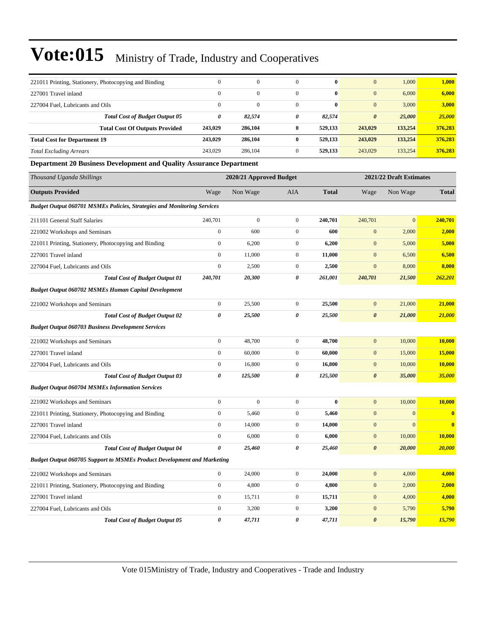| 221011 Printing, Stationery, Photocopying and Binding                          | $\boldsymbol{0}$ | $\boldsymbol{0}$        | $\boldsymbol{0}$ | $\bf{0}$     | $\mathbf{0}$          | 1,000                   | 1,000        |
|--------------------------------------------------------------------------------|------------------|-------------------------|------------------|--------------|-----------------------|-------------------------|--------------|
| 227001 Travel inland                                                           | $\mathbf{0}$     | $\boldsymbol{0}$        | $\boldsymbol{0}$ | $\bf{0}$     | $\mathbf{0}$          | 6,000                   | 6,000        |
| 227004 Fuel, Lubricants and Oils                                               | $\overline{0}$   | $\mathbf{0}$            | $\boldsymbol{0}$ | $\bf{0}$     | $\mathbf{0}$          | 3,000                   | 3,000        |
| <b>Total Cost of Budget Output 05</b>                                          | $\pmb{\theta}$   | 82,574                  | 0                | 82,574       | $\boldsymbol{\theta}$ | 25,000                  | 25,000       |
| <b>Total Cost Of Outputs Provided</b>                                          | 243,029          | 286,104                 | $\bf{0}$         | 529,133      | 243,029               | 133,254                 | 376,283      |
| <b>Total Cost for Department 19</b>                                            | 243,029          | 286,104                 | $\bf{0}$         | 529,133      | 243,029               | 133,254                 | 376,283      |
| <b>Total Excluding Arrears</b>                                                 | 243,029          | 286,104                 | $\boldsymbol{0}$ | 529,133      | 243,029               | 133,254                 | 376,283      |
| Department 20 Business Development and Quality Assurance Department            |                  |                         |                  |              |                       |                         |              |
| Thousand Uganda Shillings                                                      |                  | 2020/21 Approved Budget |                  |              |                       | 2021/22 Draft Estimates |              |
| <b>Outputs Provided</b>                                                        | Wage             | Non Wage                | AIA              | <b>Total</b> | Wage                  | Non Wage                | <b>Total</b> |
| <b>Budget Output 060701 MSMEs Policies, Strategies and Monitoring Services</b> |                  |                         |                  |              |                       |                         |              |
| 211101 General Staff Salaries                                                  | 240,701          | $\boldsymbol{0}$        | $\boldsymbol{0}$ | 240,701      | 240,701               | $\mathbf{0}$            | 240,701      |
| 221002 Workshops and Seminars                                                  | $\boldsymbol{0}$ | 600                     | $\boldsymbol{0}$ | 600          | $\mathbf{0}$          | 2,000                   | 2,000        |
| 221011 Printing, Stationery, Photocopying and Binding                          | $\boldsymbol{0}$ | 6,200                   | $\boldsymbol{0}$ | 6,200        | $\mathbf{0}$          | 5,000                   | 5,000        |
| 227001 Travel inland                                                           | $\boldsymbol{0}$ | 11,000                  | $\boldsymbol{0}$ | 11,000       | $\mathbf{0}$          | 6,500                   | 6,500        |
| 227004 Fuel, Lubricants and Oils                                               | $\boldsymbol{0}$ | 2,500                   | $\boldsymbol{0}$ | 2,500        | $\mathbf{0}$          | 8,000                   | 8,000        |
| <b>Total Cost of Budget Output 01</b>                                          | 240,701          | 20,300                  | 0                | 261,001      | 240,701               | 21,500                  | 262,201      |
| <b>Budget Output 060702 MSMEs Human Capital Development</b>                    |                  |                         |                  |              |                       |                         |              |
| 221002 Workshops and Seminars                                                  | $\boldsymbol{0}$ | 25,500                  | $\boldsymbol{0}$ | 25,500       | $\mathbf{0}$          | 21,000                  | 21,000       |
| <b>Total Cost of Budget Output 02</b>                                          | 0                | 25,500                  | 0                | 25,500       | $\boldsymbol{\theta}$ | 21,000                  | 21,000       |
| <b>Budget Output 060703 Business Development Services</b>                      |                  |                         |                  |              |                       |                         |              |
| 221002 Workshops and Seminars                                                  | $\boldsymbol{0}$ | 48,700                  | $\boldsymbol{0}$ | 48,700       | $\mathbf{0}$          | 10,000                  | 10,000       |
| 227001 Travel inland                                                           | $\boldsymbol{0}$ | 60,000                  | $\boldsymbol{0}$ | 60,000       | $\mathbf{0}$          | 15,000                  | 15,000       |
| 227004 Fuel, Lubricants and Oils                                               | $\boldsymbol{0}$ | 16,800                  | $\boldsymbol{0}$ | 16,800       | $\mathbf{0}$          | 10,000                  | 10,000       |
| <b>Total Cost of Budget Output 03</b>                                          | 0                | 125,500                 | 0                | 125,500      | $\boldsymbol{\theta}$ | 35,000                  | 35,000       |
| <b>Budget Output 060704 MSMEs Information Services</b>                         |                  |                         |                  |              |                       |                         |              |
| 221002 Workshops and Seminars                                                  | $\boldsymbol{0}$ | $\boldsymbol{0}$        | $\boldsymbol{0}$ | $\bf{0}$     | $\mathbf{0}$          | 10,000                  | 10,000       |
| 221011 Printing, Stationery, Photocopying and Binding                          | $\boldsymbol{0}$ | 5,460                   | $\boldsymbol{0}$ | 5,460        | $\mathbf{0}$          | $\mathbf{0}$            | $\bf{0}$     |
| 227001 Travel inland                                                           | $\boldsymbol{0}$ | 14,000                  | $\boldsymbol{0}$ | 14,000       | $\mathbf{0}$          | $\mathbf{0}$            | $\bf{0}$     |
| 227004 Fuel, Lubricants and Oils                                               | $\mathbf{0}$     | 6,000                   | $\Omega$         | 6,000        | $\boldsymbol{0}$      | 10,000                  | 10,000       |
| <b>Total Cost of Budget Output 04</b>                                          | 0                | 25,460                  | 0                | 25,460       | $\boldsymbol{\theta}$ | 20,000                  | 20,000       |
| <b>Budget Output 060705 Support to MSMEs Product Development and Marketing</b> |                  |                         |                  |              |                       |                         |              |
| 221002 Workshops and Seminars                                                  | $\boldsymbol{0}$ | 24,000                  | $\boldsymbol{0}$ | 24,000       | $\mathbf{0}$          | 4,000                   | 4,000        |
| 221011 Printing, Stationery, Photocopying and Binding                          | $\boldsymbol{0}$ | 4,800                   | $\boldsymbol{0}$ | 4,800        | $\mathbf{0}$          | 2,000                   | 2,000        |
| 227001 Travel inland                                                           | $\boldsymbol{0}$ | 15,711                  | $\boldsymbol{0}$ | 15,711       | $\boldsymbol{0}$      | 4,000                   | 4,000        |
| 227004 Fuel, Lubricants and Oils                                               | $\boldsymbol{0}$ | 3,200                   | $\boldsymbol{0}$ | 3,200        | $\mathbf{0}$          | 5,790                   | 5,790        |
| <b>Total Cost of Budget Output 05</b>                                          | 0                | 47,711                  | 0                | 47,711       | $\boldsymbol{\theta}$ | 15,790                  | 15,790       |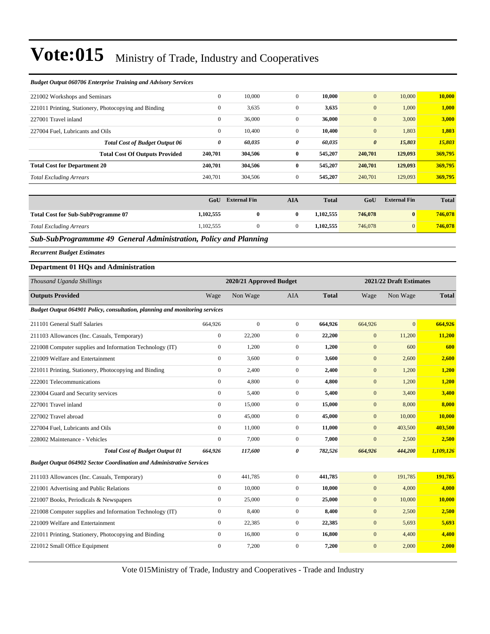#### *Budget Output 060706 Enterprise Training and Advisory Services*

|                                       | $\mathbf{0}$                                                                                                                                                      | 10.000  |              | 10,000  | $\mathbf{0}$          | 10,000  | 10,000  |
|---------------------------------------|-------------------------------------------------------------------------------------------------------------------------------------------------------------------|---------|--------------|---------|-----------------------|---------|---------|
|                                       | $\mathbf{0}$                                                                                                                                                      | 3,635   |              | 3,635   | $\mathbf{0}$          | 1,000   | 1,000   |
|                                       | $\mathbf{0}$                                                                                                                                                      | 36,000  | $\Omega$     | 36,000  | $\boldsymbol{0}$      | 3,000   | 3,000   |
|                                       | $\mathbf{0}$                                                                                                                                                      | 10.400  | $\mathbf{0}$ | 10,400  | $\mathbf{0}$          | 1,803   | 1,803   |
| <b>Total Cost of Budget Output 06</b> | 0                                                                                                                                                                 | 60,035  | 0            | 60,035  | $\boldsymbol{\theta}$ | 15,803  | 15,803  |
| <b>Total Cost Of Outputs Provided</b> | 240,701                                                                                                                                                           | 304.506 | $\mathbf{0}$ | 545,207 | 240,701               | 129,093 | 369,795 |
|                                       | 240,701                                                                                                                                                           | 304,506 | 0            | 545,207 | 240,701               | 129,093 | 369,795 |
|                                       | 240,701                                                                                                                                                           | 304,506 | $\Omega$     | 545,207 | 240,701               | 129,093 | 369,795 |
|                                       | 221002 Workshops and Seminars<br>221011 Printing, Stationery, Photocopying and Binding<br>227004 Fuel, Lubricants and Oils<br><b>Total Cost for Department 20</b> |         |              |         |                       |         |         |

|                                           | GoU       | <b>External Fin</b> | AIA | <b>Total</b> | GoU     | <b>External Fin</b> | <b>Total</b> |
|-------------------------------------------|-----------|---------------------|-----|--------------|---------|---------------------|--------------|
| <b>Total Cost for Sub-SubProgramme 07</b> | 1,102,555 |                     |     | 1.102.555    | 746,078 | $\bf{0}$            | 746,078      |
| <b>Total Excluding Arrears</b>            | 1,102,555 |                     |     | 1.102.555    | 746,078 | $\overline{0}$      | 746,078      |

*Sub-SubProgrammme 49 General Administration, Policy and Planning*

*Recurrent Budget Estimates*

#### **Department 01 HQs and Administration**

| Thousand Uganda Shillings                                                   |              | 2020/21 Approved Budget |                |              |              | 2021/22 Draft Estimates |              |  |  |
|-----------------------------------------------------------------------------|--------------|-------------------------|----------------|--------------|--------------|-------------------------|--------------|--|--|
| <b>Outputs Provided</b>                                                     | Wage         | Non Wage                | <b>AIA</b>     | <b>Total</b> | Wage         | Non Wage                | <b>Total</b> |  |  |
| Budget Output 064901 Policy, consultation, planning and monitoring services |              |                         |                |              |              |                         |              |  |  |
| 211101 General Staff Salaries                                               | 664,926      | $\Omega$                | $\Omega$       | 664,926      | 664,926      | $\Omega$                | 664,926      |  |  |
| 211103 Allowances (Inc. Casuals, Temporary)                                 | $\mathbf{0}$ | 22,200                  | $\overline{0}$ | 22,200       | $\mathbf{0}$ | 11,200                  | 11,200       |  |  |
| 221008 Computer supplies and Information Technology (IT)                    | $\mathbf{0}$ | 1,200                   | $\overline{0}$ | 1,200        | $\mathbf{0}$ | 600                     | 600          |  |  |
| 221009 Welfare and Entertainment                                            | $\mathbf{0}$ | 3.600                   | $\overline{0}$ | 3.600        | $\mathbf{0}$ | 2,600                   | 2,600        |  |  |
| 221011 Printing, Stationery, Photocopying and Binding                       | $\mathbf{0}$ | 2.400                   | $\overline{0}$ | 2,400        | $\mathbf{0}$ | 1,200                   | 1,200        |  |  |
| 222001 Telecommunications                                                   | $\mathbf{0}$ | 4,800                   | $\overline{0}$ | 4,800        | $\mathbf{0}$ | 1,200                   | 1,200        |  |  |
| 223004 Guard and Security services                                          | $\mathbf{0}$ | 5,400                   | $\overline{0}$ | 5,400        | $\mathbf{0}$ | 3,400                   | 3,400        |  |  |
| 227001 Travel inland                                                        | $\mathbf{0}$ | 15,000                  | $\overline{0}$ | 15,000       | $\mathbf{0}$ | 8,000                   | 8,000        |  |  |
| 227002 Travel abroad                                                        | $\theta$     | 45,000                  | $\overline{0}$ | 45,000       | $\mathbf{0}$ | 10,000                  | 10,000       |  |  |
| 227004 Fuel, Lubricants and Oils                                            | $\Omega$     | 11,000                  | $\overline{0}$ | 11,000       | $\mathbf{0}$ | 403,500                 | 403,500      |  |  |
| 228002 Maintenance - Vehicles                                               | $\mathbf{0}$ | 7,000                   | $\overline{0}$ | 7,000        | $\mathbf{0}$ | 2,500                   | 2,500        |  |  |
| <b>Total Cost of Budget Output 01</b>                                       | 664,926      | 117,600                 | 0              | 782,526      | 664,926      | 444,200                 | 1,109,126    |  |  |
| <b>Budget Output 064902 Sector Coordination and Administrative Services</b> |              |                         |                |              |              |                         |              |  |  |
| 211103 Allowances (Inc. Casuals, Temporary)                                 | $\mathbf{0}$ | 441.785                 | $\overline{0}$ | 441,785      | $\mathbf{0}$ | 191,785                 | 191,785      |  |  |
| 221001 Advertising and Public Relations                                     | $\mathbf{0}$ | 10,000                  | $\overline{0}$ | 10,000       | $\mathbf{0}$ | 4,000                   | 4,000        |  |  |
| 221007 Books, Periodicals & Newspapers                                      | $\mathbf{0}$ | 25,000                  | $\overline{0}$ | 25,000       | $\mathbf{0}$ | 10,000                  | 10,000       |  |  |
| 221008 Computer supplies and Information Technology (IT)                    | $\mathbf{0}$ | 8,400                   | $\overline{0}$ | 8,400        | $\mathbf{0}$ | 2,500                   | 2,500        |  |  |
| 221009 Welfare and Entertainment                                            | $\mathbf{0}$ | 22,385                  | $\overline{0}$ | 22,385       | $\mathbf{0}$ | 5,693                   | 5,693        |  |  |
| 221011 Printing, Stationery, Photocopying and Binding                       | $\mathbf{0}$ | 16,800                  | $\overline{0}$ | 16,800       | $\mathbf{0}$ | 4,400                   | 4,400        |  |  |
| 221012 Small Office Equipment                                               | $\mathbf{0}$ | 7,200                   | $\mathbf{0}$   | 7,200        | $\mathbf{0}$ | 2,000                   | 2,000        |  |  |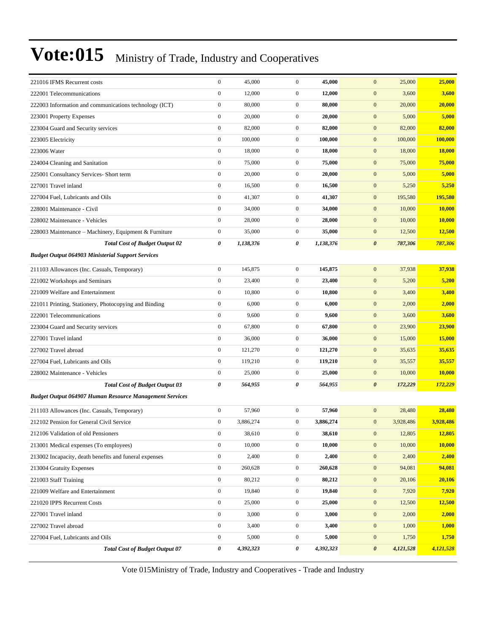| 221016 IFMS Recurrent costs                                    | $\boldsymbol{0}$ | 45,000    | $\mathbf{0}$     | 45,000    | $\mathbf{0}$<br>25,000             | 25,000        |
|----------------------------------------------------------------|------------------|-----------|------------------|-----------|------------------------------------|---------------|
| 222001 Telecommunications                                      | $\boldsymbol{0}$ | 12,000    | $\boldsymbol{0}$ | 12,000    | $\boldsymbol{0}$<br>3,600          | 3,600         |
| 222003 Information and communications technology (ICT)         | $\boldsymbol{0}$ | 80,000    | $\mathbf{0}$     | 80,000    | 20,000<br>$\boldsymbol{0}$         | 20,000        |
| 223001 Property Expenses                                       | $\boldsymbol{0}$ | 20,000    | $\mathbf{0}$     | 20,000    | $\mathbf{0}$<br>5,000              | 5,000         |
| 223004 Guard and Security services                             | $\boldsymbol{0}$ | 82,000    | $\mathbf{0}$     | 82,000    | $\mathbf{0}$<br>82,000             | 82,000        |
| 223005 Electricity                                             | $\boldsymbol{0}$ | 100,000   | $\mathbf{0}$     | 100,000   | $\mathbf{0}$<br>100,000            | 100,000       |
| 223006 Water                                                   | $\boldsymbol{0}$ | 18,000    | $\mathbf{0}$     | 18,000    | $\boldsymbol{0}$<br>18,000         | 18,000        |
| 224004 Cleaning and Sanitation                                 | $\boldsymbol{0}$ | 75,000    | $\boldsymbol{0}$ | 75,000    | $\boldsymbol{0}$<br>75,000         | 75,000        |
| 225001 Consultancy Services- Short term                        | $\boldsymbol{0}$ | 20,000    | $\mathbf{0}$     | 20,000    | $\mathbf{0}$<br>5,000              | 5,000         |
| 227001 Travel inland                                           | $\boldsymbol{0}$ | 16,500    | $\mathbf{0}$     | 16,500    | $\mathbf{0}$<br>5,250              | 5,250         |
| 227004 Fuel, Lubricants and Oils                               | $\boldsymbol{0}$ | 41,307    | $\mathbf{0}$     | 41,307    | $\mathbf{0}$<br>195,580            | 195,580       |
| 228001 Maintenance - Civil                                     | $\boldsymbol{0}$ | 34,000    | $\mathbf{0}$     | 34,000    | $\boldsymbol{0}$<br>10,000         | 10,000        |
| 228002 Maintenance - Vehicles                                  | $\boldsymbol{0}$ | 28,000    | $\mathbf{0}$     | 28,000    | $\boldsymbol{0}$<br>10,000         | 10,000        |
| 228003 Maintenance - Machinery, Equipment & Furniture          | $\boldsymbol{0}$ | 35,000    | $\mathbf{0}$     | 35,000    | $\boldsymbol{0}$<br>12,500         | 12,500        |
| <b>Total Cost of Budget Output 02</b>                          | 0                | 1,138,376 | 0                | 1,138,376 | $\pmb{\theta}$<br>787,306          | 787,306       |
| <b>Budget Output 064903 Ministerial Support Services</b>       |                  |           |                  |           |                                    |               |
| 211103 Allowances (Inc. Casuals, Temporary)                    | $\boldsymbol{0}$ | 145,875   | $\mathbf{0}$     | 145,875   | 37,938<br>$\mathbf{0}$             | 37,938        |
| 221002 Workshops and Seminars                                  | $\boldsymbol{0}$ | 23,400    | $\boldsymbol{0}$ | 23,400    | $\boldsymbol{0}$<br>5,200          | 5,200         |
| 221009 Welfare and Entertainment                               | $\boldsymbol{0}$ | 10,800    | $\mathbf{0}$     | 10,800    | $\mathbf{0}$<br>3,400              | 3,400         |
| 221011 Printing, Stationery, Photocopying and Binding          | $\boldsymbol{0}$ | 6,000     | $\boldsymbol{0}$ | 6,000     | $\boldsymbol{0}$<br>2,000          | 2,000         |
| 222001 Telecommunications                                      | $\boldsymbol{0}$ | 9,600     | $\mathbf{0}$     | 9,600     | $\boldsymbol{0}$<br>3,600          | 3,600         |
| 223004 Guard and Security services                             | $\boldsymbol{0}$ | 67,800    | $\mathbf{0}$     | 67,800    | $\boldsymbol{0}$<br>23,900         | 23,900        |
| 227001 Travel inland                                           | $\boldsymbol{0}$ | 36,000    | $\mathbf{0}$     | 36,000    | $\boldsymbol{0}$<br>15,000         | 15,000        |
| 227002 Travel abroad                                           | $\boldsymbol{0}$ | 121,270   | $\mathbf{0}$     | 121,270   | $\mathbf{0}$<br>35,635             | 35,635        |
| 227004 Fuel, Lubricants and Oils                               | $\boldsymbol{0}$ | 119,210   | $\mathbf{0}$     | 119,210   | $\mathbf{0}$<br>35,557             | 35,557        |
| 228002 Maintenance - Vehicles                                  | $\boldsymbol{0}$ | 25,000    | $\mathbf{0}$     | 25,000    | $\boldsymbol{0}$<br>10,000         | 10,000        |
| <b>Total Cost of Budget Output 03</b>                          | 0                | 564,955   | 0                | 564,955   | $\boldsymbol{\theta}$<br>172,229   | 172,229       |
| <b>Budget Output 064907 Human Resource Management Services</b> |                  |           |                  |           |                                    |               |
| 211103 Allowances (Inc. Casuals, Temporary)                    | $\boldsymbol{0}$ | 57,960    | $\mathbf{0}$     | 57,960    | $\mathbf{0}$<br>28,480             | 28,480        |
| 212102 Pension for General Civil Service                       | $\boldsymbol{0}$ | 3,886,274 | $\boldsymbol{0}$ | 3,886,274 | $\boldsymbol{0}$<br>3,928,486      | 3,928,486     |
| 212106 Validation of old Pensioners                            | $\boldsymbol{0}$ | 38,610    | $\boldsymbol{0}$ | 38,610    | 12,805<br>$\mathbf{0}$             | 12,805        |
| 213001 Medical expenses (To employees)                         | $\boldsymbol{0}$ | 10,000    | $\boldsymbol{0}$ | 10,000    | $\mathbf{0}$<br>10,000             | <b>10,000</b> |
| 213002 Incapacity, death benefits and funeral expenses         | $\boldsymbol{0}$ | 2,400     | $\boldsymbol{0}$ | 2,400     | $\mathbf{0}$<br>2,400              | 2,400         |
| 213004 Gratuity Expenses                                       | $\boldsymbol{0}$ | 260,628   | $\boldsymbol{0}$ | 260,628   | $\boldsymbol{0}$<br>94,081         | 94,081        |
| 221003 Staff Training                                          | $\boldsymbol{0}$ | 80,212    | $\boldsymbol{0}$ | 80,212    | $\boldsymbol{0}$<br>20,106         | 20,106        |
| 221009 Welfare and Entertainment                               | $\boldsymbol{0}$ | 19,840    | $\boldsymbol{0}$ | 19,840    | $\boldsymbol{0}$<br>7,920          | 7,920         |
| 221020 IPPS Recurrent Costs                                    | $\boldsymbol{0}$ | 25,000    | $\boldsymbol{0}$ | 25,000    | $\boldsymbol{0}$<br>12,500         | 12,500        |
| 227001 Travel inland                                           | $\boldsymbol{0}$ | 3,000     | $\boldsymbol{0}$ | 3,000     | $\mathbf{0}$<br>2,000              | 2,000         |
| 227002 Travel abroad                                           | $\boldsymbol{0}$ | 3,400     | $\boldsymbol{0}$ | 3,400     | $\mathbf{0}$<br>1,000              | 1,000         |
| 227004 Fuel, Lubricants and Oils                               | $\boldsymbol{0}$ | 5,000     | $\boldsymbol{0}$ | 5,000     | $\boldsymbol{0}$<br>1,750          | 1,750         |
| <b>Total Cost of Budget Output 07</b>                          | 0                | 4,392,323 | 0                | 4,392,323 | $\boldsymbol{\theta}$<br>4,121,528 | 4,121,528     |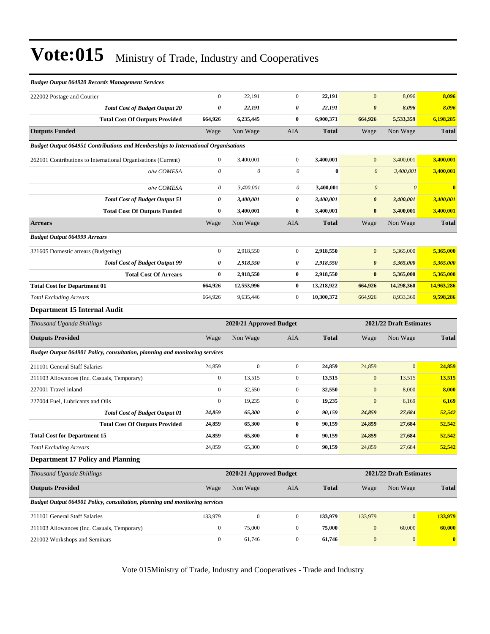#### *Budget Output 064920 Records Management Services*

| 222002 Postage and Courier                                                               | $\boldsymbol{0}$      | 22,191                    | $\mathbf{0}$     | 22,191       | $\mathbf{0}$              | 8,096                   | 8,096                   |
|------------------------------------------------------------------------------------------|-----------------------|---------------------------|------------------|--------------|---------------------------|-------------------------|-------------------------|
| <b>Total Cost of Budget Output 20</b>                                                    | 0                     | 22,191                    | 0                | 22,191       | $\boldsymbol{\theta}$     | 8,096                   | 8,096                   |
| <b>Total Cost Of Outputs Provided</b>                                                    | 664,926               | 6,235,445                 | $\bf{0}$         | 6,900,371    | 664,926                   | 5,533,359               | 6,198,285               |
| <b>Outputs Funded</b>                                                                    | Wage                  | Non Wage                  | AIA              | <b>Total</b> | Wage                      | Non Wage                | <b>Total</b>            |
| <b>Budget Output 064951 Contributions and Memberships to International Organisations</b> |                       |                           |                  |              |                           |                         |                         |
| 262101 Contributions to International Organisations (Current)                            | $\boldsymbol{0}$      | 3,400,001                 | $\mathbf{0}$     | 3,400,001    | $\mathbf{0}$              | 3,400,001               | 3,400,001               |
| o/w COMESA                                                                               | $\theta$              | $\boldsymbol{\mathit{0}}$ | 0                | $\bf{0}$     | $\boldsymbol{0}$          | 3,400,001               | 3,400,001               |
| o/w COMESA                                                                               | $\boldsymbol{\theta}$ | 3,400,001                 | 0                | 3,400,001    | $\boldsymbol{\mathit{0}}$ | $\theta$                | $\overline{\mathbf{0}}$ |
| <b>Total Cost of Budget Output 51</b>                                                    | 0                     | 3,400,001                 | 0                | 3,400,001    | $\boldsymbol{\theta}$     | 3,400,001               | 3,400,001               |
| <b>Total Cost Of Outputs Funded</b>                                                      | $\bf{0}$              | 3,400,001                 | $\bf{0}$         | 3,400,001    | $\bf{0}$                  | 3,400,001               | 3,400,001               |
| <b>Arrears</b>                                                                           | Wage                  | Non Wage                  | AIA              | <b>Total</b> | Wage                      | Non Wage                | <b>Total</b>            |
| <b>Budget Output 064999 Arrears</b>                                                      |                       |                           |                  |              |                           |                         |                         |
| 321605 Domestic arrears (Budgeting)                                                      | $\boldsymbol{0}$      | 2,918,550                 | $\mathbf{0}$     | 2,918,550    | $\mathbf{0}$              | 5,365,000               | 5,365,000               |
| <b>Total Cost of Budget Output 99</b>                                                    | 0                     | 2,918,550                 | 0                | 2,918,550    | $\boldsymbol{\theta}$     | 5,365,000               | 5,365,000               |
| <b>Total Cost Of Arrears</b>                                                             | $\bf{0}$              | 2,918,550                 | $\bf{0}$         | 2,918,550    | $\bf{0}$                  | 5,365,000               | 5,365,000               |
| <b>Total Cost for Department 01</b>                                                      | 664,926               | 12,553,996                | $\bf{0}$         | 13,218,922   | 664,926                   | 14,298,360              | 14,963,286              |
| <b>Total Excluding Arrears</b>                                                           | 664,926               | 9,635,446                 | $\mathbf{0}$     | 10,300,372   | 664,926                   | 8,933,360               | 9,598,286               |
| Department 15 Internal Audit                                                             |                       |                           |                  |              |                           |                         |                         |
| Thousand Uganda Shillings                                                                |                       | 2020/21 Approved Budget   |                  |              |                           | 2021/22 Draft Estimates |                         |
| <b>Outputs Provided</b>                                                                  | Wage                  | Non Wage                  | <b>AIA</b>       | <b>Total</b> | Wage                      | Non Wage                | <b>Total</b>            |
| Budget Output 064901 Policy, consultation, planning and monitoring services              |                       |                           |                  |              |                           |                         |                         |
| 211101 General Staff Salaries                                                            | 24,859                | $\boldsymbol{0}$          | $\mathbf{0}$     | 24,859       | 24,859                    | $\mathbf{0}$            | 24,859                  |
| 211103 Allowances (Inc. Casuals, Temporary)                                              | $\boldsymbol{0}$      | 13,515                    | $\boldsymbol{0}$ | 13,515       | $\boldsymbol{0}$          | 13,515                  | 13,515                  |
| 227001 Travel inland                                                                     | $\boldsymbol{0}$      | 32,550                    | $\mathbf{0}$     | 32,550       | $\boldsymbol{0}$          | 8,000                   | 8,000                   |
| 227004 Fuel, Lubricants and Oils                                                         | $\overline{0}$        | 19,235                    | $\mathbf{0}$     | 19,235       | $\mathbf{0}$              | 6,169                   | 6,169                   |
| <b>Total Cost of Budget Output 01</b>                                                    | 24,859                | 65,300                    | 0                | 90,159       | 24,859                    | 27,684                  | 52,542                  |
| <b>Total Cost Of Outputs Provided</b>                                                    | 24,859                | 65,300                    | $\bf{0}$         | 90,159       | 24,859                    | 27,684                  | 52,542                  |
| <b>Total Cost for Department 15</b>                                                      | 24,859                | 65,300                    | $\bf{0}$         | 90,159       | 24,859                    | 27,684                  | 52,542                  |
| <b>Total Excluding Arrears</b>                                                           | 24,859                | 65,300                    | $\boldsymbol{0}$ | 90,159       | 24,859                    | 27,684                  | 52,542                  |
| <b>Department 17 Policy and Planning</b>                                                 |                       |                           |                  |              |                           |                         |                         |
| Thousand Uganda Shillings                                                                |                       | 2020/21 Approved Budget   |                  |              |                           | 2021/22 Draft Estimates |                         |
| <b>Outputs Provided</b>                                                                  | Wage                  | Non Wage                  | AIA              | <b>Total</b> | Wage                      | Non Wage                | <b>Total</b>            |
| Budget Output 064901 Policy, consultation, planning and monitoring services              |                       |                           |                  |              |                           |                         |                         |
| 211101 General Staff Salaries                                                            | 133,979               | $\boldsymbol{0}$          | $\mathbf{0}$     | 133,979      | 133,979                   | $\mathbf{0}$            | 133,979                 |
| 211103 Allowances (Inc. Casuals, Temporary)                                              | $\boldsymbol{0}$      | 75,000                    | $\mathbf{0}$     | 75,000       | $\mathbf{0}$              | 60,000                  | 60,000                  |
| 221002 Workshops and Seminars                                                            | $\boldsymbol{0}$      | 61,746                    | $\boldsymbol{0}$ | 61,746       | $\mathbf{0}$              | $\mathbf{0}$            | $\bf{0}$                |
|                                                                                          |                       |                           |                  |              |                           |                         |                         |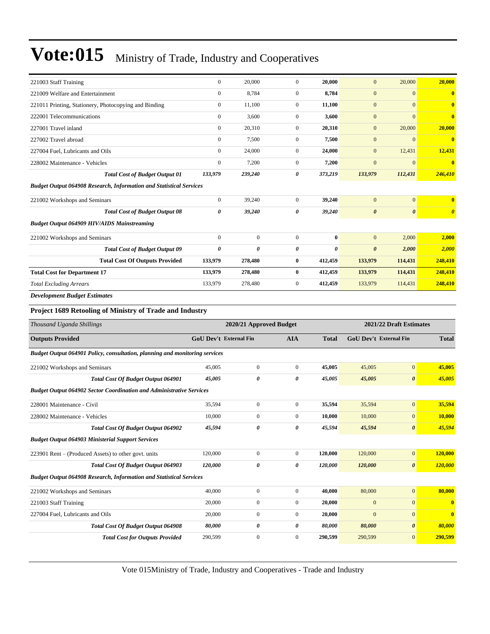| 221003 Staff Training                                                       | $\boldsymbol{0}$              | 20,000                  | $\mathbf{0}$     | 20,000       | $\mathbf{0}$          | 20,000                  | 20,000                |
|-----------------------------------------------------------------------------|-------------------------------|-------------------------|------------------|--------------|-----------------------|-------------------------|-----------------------|
| 221009 Welfare and Entertainment                                            | $\boldsymbol{0}$              | 8,784                   | $\mathbf{0}$     | 8,784        | $\mathbf{0}$          | $\mathbf{0}$            | $\bf{0}$              |
| 221011 Printing, Stationery, Photocopying and Binding                       | $\boldsymbol{0}$              | 11,100                  | $\mathbf{0}$     | 11,100       | $\mathbf{0}$          | $\mathbf{0}$            | $\bf{0}$              |
| 222001 Telecommunications                                                   | $\boldsymbol{0}$              | 3,600                   | $\mathbf{0}$     | 3,600        | $\mathbf{0}$          | $\mathbf{0}$            | $\bf{0}$              |
| 227001 Travel inland                                                        | $\mathbf{0}$                  | 20,310                  | $\mathbf{0}$     | 20,310       | $\mathbf{0}$          | 20,000                  | 20,000                |
| 227002 Travel abroad                                                        | $\boldsymbol{0}$              | 7,500                   | $\mathbf{0}$     | 7,500        | $\mathbf{0}$          | $\mathbf{0}$            | $\bf{0}$              |
| 227004 Fuel, Lubricants and Oils                                            | $\boldsymbol{0}$              | 24,000                  | $\mathbf{0}$     | 24,000       | $\mathbf{0}$          | 12,431                  | 12,431                |
| 228002 Maintenance - Vehicles                                               | $\boldsymbol{0}$              | 7,200                   | $\mathbf{0}$     | 7,200        | $\mathbf{0}$          | $\mathbf{0}$            | $\bf{0}$              |
| <b>Total Cost of Budget Output 01</b>                                       | 133,979                       | 239,240                 | 0                | 373,219      | 133,979               | 112,431                 | 246,410               |
| <b>Budget Output 064908 Research, Information and Statistical Services</b>  |                               |                         |                  |              |                       |                         |                       |
| 221002 Workshops and Seminars                                               | $\boldsymbol{0}$              | 39,240                  | $\boldsymbol{0}$ | 39,240       | $\mathbf{0}$          | $\mathbf{0}$            | $\bf{0}$              |
| <b>Total Cost of Budget Output 08</b>                                       | 0                             | 39,240                  | 0                | 39,240       | $\boldsymbol{\theta}$ | $\boldsymbol{\theta}$   | $\boldsymbol{\theta}$ |
| <b>Budget Output 064909 HIV/AIDS Mainstreaming</b>                          |                               |                         |                  |              |                       |                         |                       |
| 221002 Workshops and Seminars                                               | $\mathbf{0}$                  | $\boldsymbol{0}$        | $\mathbf{0}$     | $\bf{0}$     | $\mathbf{0}$          | 2,000                   | 2,000                 |
| <b>Total Cost of Budget Output 09</b>                                       | $\pmb{\theta}$                | 0                       | 0                | 0            | $\boldsymbol{\theta}$ | 2,000                   | 2,000                 |
| <b>Total Cost Of Outputs Provided</b>                                       | 133,979                       | 278,480                 | $\bf{0}$         | 412,459      | 133,979               | 114,431                 | 248,410               |
| <b>Total Cost for Department 17</b>                                         | 133,979                       | 278,480                 | $\bf{0}$         | 412,459      | 133,979               | 114,431                 | 248,410               |
| <b>Total Excluding Arrears</b>                                              | 133,979                       | 278,480                 | $\mathbf{0}$     | 412,459      | 133,979               | 114,431                 | 248,410               |
| <b>Development Budget Estimates</b>                                         |                               |                         |                  |              |                       |                         |                       |
|                                                                             |                               |                         |                  |              |                       |                         |                       |
| Project 1689 Retooling of Ministry of Trade and Industry                    |                               |                         |                  |              |                       |                         |                       |
| Thousand Uganda Shillings                                                   |                               | 2020/21 Approved Budget |                  |              |                       | 2021/22 Draft Estimates |                       |
| <b>Outputs Provided</b>                                                     | <b>GoU Dev't External Fin</b> |                         | <b>AIA</b>       | <b>Total</b> |                       | GoU Dev't External Fin  | <b>Total</b>          |
| Budget Output 064901 Policy, consultation, planning and monitoring services |                               |                         |                  |              |                       |                         |                       |
| 221002 Workshops and Seminars                                               |                               |                         |                  |              |                       |                         |                       |
|                                                                             | 45,005                        | $\boldsymbol{0}$        | $\boldsymbol{0}$ | 45,005       | 45,005                | $\mathbf{0}$            | 45,005                |
| Total Cost Of Budget Output 064901                                          | 45,005                        | 0                       | 0                | 45,005       | 45,005                | $\pmb{\theta}$          | 45,005                |
| <b>Budget Output 064902 Sector Coordination and Administrative Services</b> |                               |                         |                  |              |                       |                         |                       |
|                                                                             |                               |                         |                  |              |                       |                         |                       |
| 228001 Maintenance - Civil                                                  | 35,594                        | $\boldsymbol{0}$        | $\boldsymbol{0}$ | 35,594       | 35,594                | $\mathbf{0}$            | 35,594                |
| 228002 Maintenance - Vehicles                                               | 10,000                        | $\boldsymbol{0}$        | $\boldsymbol{0}$ | 10,000       | 10,000                | $\mathbf{0}$            | 10,000                |
| Total Cost Of Budget Output 064902                                          | 45,594                        | 0                       | 0                | 45,594       | 45,594                | $\boldsymbol{\theta}$   | 45,594                |
| <b>Budget Output 064903 Ministerial Support Services</b>                    |                               |                         |                  |              |                       |                         |                       |
| 223901 Rent – (Produced Assets) to other govt. units                        | 120,000                       | $\boldsymbol{0}$        | $\mathbf{0}$     | 120,000      | 120,000               | $\boldsymbol{0}$        | 120,000               |
| Total Cost Of Budget Output 064903                                          | 120,000                       | 0                       | 0                | 120,000      | 120,000               | $\boldsymbol{\theta}$   | <b>120,000</b>        |
| <b>Budget Output 064908 Research, Information and Statistical Services</b>  |                               |                         |                  |              |                       |                         |                       |
| 221002 Workshops and Seminars                                               | 40,000                        | $\boldsymbol{0}$        | $\boldsymbol{0}$ | 40,000       | 80,000                | $\overline{0}$          | 80,000                |
| 221003 Staff Training                                                       | 20,000                        | $\boldsymbol{0}$        | $\boldsymbol{0}$ | 20,000       | $\bf{0}$              | $\boldsymbol{0}$        | $\bf{0}$              |
| 227004 Fuel, Lubricants and Oils                                            | 20,000                        | $\boldsymbol{0}$        | $\boldsymbol{0}$ | 20,000       | $\mathbf{0}$          | $\mathbf{0}$            | $\bf{0}$              |
| Total Cost Of Budget Output 064908                                          | 80,000                        | 0                       | 0                | 80,000       | 80,000                | 0                       | 80,000                |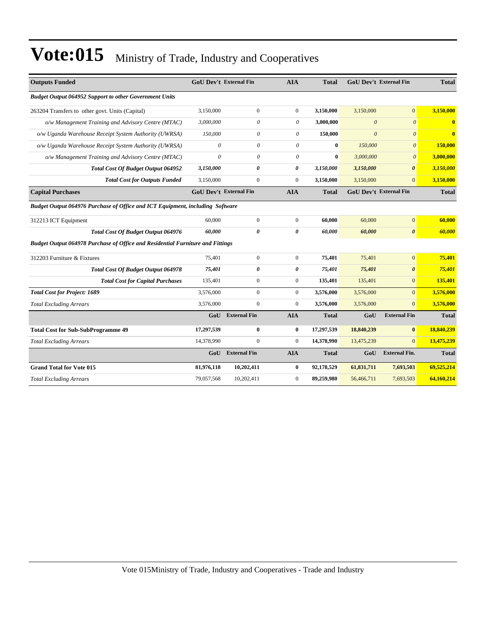| <b>Outputs Funded</b>                                                          | <b>GoU Dev't External Fin</b> |                     | <b>AIA</b>       | <b>Total</b> | <b>GoU Dev't External Fin</b> |                       | <b>Total</b> |  |
|--------------------------------------------------------------------------------|-------------------------------|---------------------|------------------|--------------|-------------------------------|-----------------------|--------------|--|
| <b>Budget Output 064952 Support to other Government Units</b>                  |                               |                     |                  |              |                               |                       |              |  |
| 263204 Transfers to other govt. Units (Capital)                                | 3,150,000                     | $\overline{0}$      | $\overline{0}$   | 3,150,000    | 3,150,000                     | $\mathbf{0}$          | 3,150,000    |  |
| o/w Management Training and Advisory Centre (MTAC)                             | 3,000,000                     | $\theta$            | $\theta$         | 3,000,000    | $\theta$                      | $\mathcal{O}$         | $\bf{0}$     |  |
| o/w Uganda Warehouse Receipt System Authority (UWRSA)                          | 150,000                       | $\theta$            | $\theta$         | 150,000      | $\theta$                      | $\theta$              | $\mathbf{0}$ |  |
| o/w Uganda Warehouse Receipt System Authority (UWRSA)                          | 0                             | 0                   | $\theta$         | $\mathbf{0}$ | 150,000                       | $\theta$              | 150,000      |  |
| o/w Management Training and Advisory Centre (MTAC)                             | $\theta$                      | $\theta$            | $\theta$         | $\bf{0}$     | 3,000,000                     | $\mathcal{O}$         | 3,000,000    |  |
| Total Cost Of Budget Output 064952                                             | 3,150,000                     | 0                   | 0                | 3,150,000    | 3,150,000                     | $\boldsymbol{\theta}$ | 3,150,000    |  |
| <b>Total Cost for Outputs Funded</b>                                           | 3,150,000                     | $\overline{0}$      | $\overline{0}$   | 3,150,000    | 3,150,000                     | $\Omega$              | 3,150,000    |  |
| <b>Capital Purchases</b>                                                       | <b>GoU Dev't External Fin</b> |                     | <b>AIA</b>       | Total        | <b>GoU Dev't External Fin</b> |                       | <b>Total</b> |  |
| Budget Output 064976 Purchase of Office and ICT Equipment, including Software  |                               |                     |                  |              |                               |                       |              |  |
| 312213 ICT Equipment                                                           | 60,000                        | $\overline{0}$      | $\overline{0}$   | 60,000       | 60,000                        | $\mathbf{0}$          | 60,000       |  |
| Total Cost Of Budget Output 064976                                             | 60,000                        | $\theta$            | 0                | 60,000       | 60,000                        | $\boldsymbol{\theta}$ | 60,000       |  |
| Budget Output 064978 Purchase of Office and Residential Furniture and Fittings |                               |                     |                  |              |                               |                       |              |  |
| 312203 Furniture & Fixtures                                                    | 75,401                        | $\mathbf{0}$        | $\overline{0}$   | 75,401       | 75,401                        | $\mathbf{0}$          | 75,401       |  |
| <b>Total Cost Of Budget Output 064978</b>                                      | 75,401                        | 0                   | 0                | 75,401       | 75,401                        | $\boldsymbol{\theta}$ | 75,401       |  |
| <b>Total Cost for Capital Purchases</b>                                        | 135,401                       | $\overline{0}$      | $\overline{0}$   | 135,401      | 135,401                       | $\overline{0}$        | 135,401      |  |
| <b>Total Cost for Project: 1689</b>                                            | 3,576,000                     | $\overline{0}$      | $\overline{0}$   | 3,576,000    | 3,576,000                     | $\overline{0}$        | 3,576,000    |  |
| <b>Total Excluding Arrears</b>                                                 | 3,576,000                     | $\boldsymbol{0}$    | $\overline{0}$   | 3,576,000    | 3,576,000                     | $\overline{0}$        | 3,576,000    |  |
|                                                                                | GoU                           | <b>External Fin</b> | <b>AIA</b>       | <b>Total</b> | GoU                           | <b>External Fin</b>   | <b>Total</b> |  |
| <b>Total Cost for Sub-SubProgramme 49</b>                                      | 17,297,539                    | $\bf{0}$            | $\bf{0}$         | 17,297,539   | 18,840,239                    | $\bf{0}$              | 18,840,239   |  |
| <b>Total Excluding Arrears</b>                                                 | 14,378,990                    | $\mathbf{0}$        | $\boldsymbol{0}$ | 14,378,990   | 13,475,239                    | $\overline{0}$        | 13,475,239   |  |
|                                                                                | GoU                           | <b>External Fin</b> | <b>AIA</b>       | <b>Total</b> | GoU                           | <b>External Fin.</b>  | <b>Total</b> |  |
| <b>Grand Total for Vote 015</b>                                                | 81,976,118                    | 10,202,411          | $\bf{0}$         | 92,178,529   | 61,831,711                    | 7,693,503             | 69,525,214   |  |
| <b>Total Excluding Arrears</b>                                                 | 79,057,568                    | 10,202,411          | $\overline{0}$   | 89,259,980   | 56,466,711                    | 7,693,503             | 64,160,214   |  |